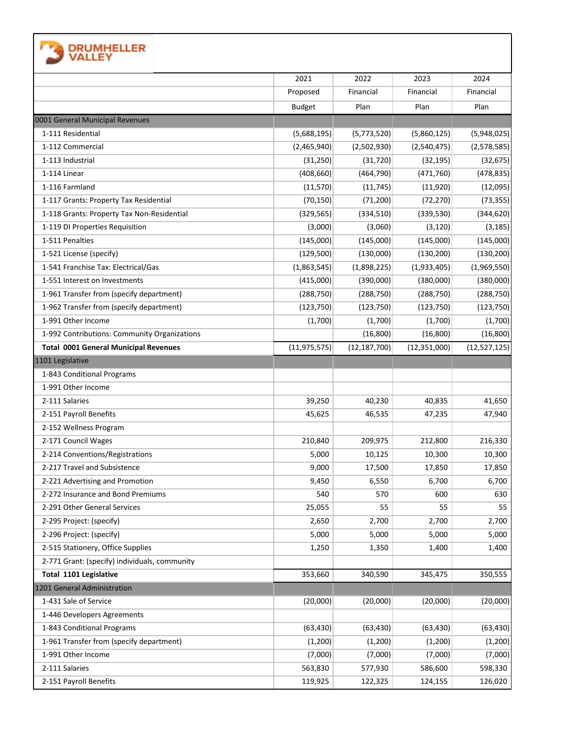|                                                                                    | 2021               | 2022               | 2023               | 2024                                        |
|------------------------------------------------------------------------------------|--------------------|--------------------|--------------------|---------------------------------------------|
|                                                                                    | Proposed           | Financial          | Financial          | Financial                                   |
|                                                                                    | <b>Budget</b>      | Plan               | Plan               | Plan                                        |
| 0001 General Municipal Revenues                                                    |                    |                    |                    |                                             |
| 1-111 Residential                                                                  | (5,688,195)        | (5,773,520)        | (5,860,125)        | (5,948,025)                                 |
| 1-112 Commercial                                                                   | (2,465,940)        | (2,502,930)        | (2,540,475)        | (2,578,585)                                 |
| 1-113 Industrial                                                                   | (31, 250)          | (31, 720)          | (32, 195)          | (32, 675)                                   |
| 1-114 Linear                                                                       | (408, 660)         | (464, 790)         | (471,760)          | (478, 835)                                  |
| 1-116 Farmland                                                                     | (11, 570)          | (11, 745)          | (11,920)           | (12,095)                                    |
| 1-117 Grants: Property Tax Residential                                             | (70, 150)          | (71, 200)          | (72, 270)          | (73, 355)                                   |
| 1-118 Grants: Property Tax Non-Residential                                         | (329, 565)         | (334, 510)         | (339,530)          | (344, 620)                                  |
| 1-119 DI Properties Requisition                                                    | (3,000)            | (3,060)            | (3, 120)           | (3, 185)                                    |
| 1-511 Penalties                                                                    | (145,000)          | (145,000)          | (145,000)          | (145,000)                                   |
| 1-521 License (specify)                                                            | (129,500)          | (130,000)          | (130, 200)         | (130, 200)                                  |
| 1-541 Franchise Tax: Electrical/Gas                                                | (1,863,545)        | (1,898,225)        | (1,933,405)        | (1,969,550)                                 |
| 1-551 Interest on Investments                                                      | (415,000)          | (390,000)          | (380,000)          | (380,000)                                   |
| 1-961 Transfer from (specify department)                                           | (288, 750)         | (288, 750)         | (288, 750)         | (288, 750)                                  |
| 1-962 Transfer from (specify department)                                           | (123, 750)         | (123, 750)         | (123, 750)         | (123, 750)                                  |
| 1-991 Other Income                                                                 | (1,700)            | (1,700)            | (1,700)            | (1,700)                                     |
| 1-992 Contributions: Community Organizations                                       |                    | (16, 800)          | (16, 800)          | (16,800)                                    |
| <b>Total 0001 General Municipal Revenues</b>                                       | (11, 975, 575)     | (12, 187, 700)     | (12, 351, 000)     | (12,527,125)                                |
| 1101 Legislative                                                                   |                    |                    |                    |                                             |
| 1-843 Conditional Programs                                                         |                    |                    |                    |                                             |
| 1-991 Other Income                                                                 |                    |                    |                    |                                             |
| 2-111 Salaries                                                                     | 39,250             | 40,230             | 40,835             | 41,650                                      |
| 2-151 Payroll Benefits                                                             | 45,625             | 46,535             | 47,235             | 47,940                                      |
| 2-152 Wellness Program                                                             |                    |                    |                    |                                             |
| 2-171 Council Wages                                                                | 210,840            | 209,975            | 212,800            | 216,330                                     |
| 2-214 Conventions/Registrations                                                    | 5,000              | 10,125             | 10,300             | 10,300                                      |
| 2-217 Travel and Subsistence                                                       | 9,000              | 17,500             | 17,850             | 17,850                                      |
| 2-221 Advertising and Promotion                                                    | 9,450              | 6,550              | 6,700              | 6,700                                       |
| 2-272 Insurance and Bond Premiums<br>2-291 Other General Services                  | 540                | 570                | 600                | 630                                         |
|                                                                                    | 25,055             | 55                 | 55                 | 55                                          |
| 2-295 Project: (specify)<br>2-296 Project: (specify)                               | 2,650              | 2,700              | 2,700              | 2,700                                       |
|                                                                                    | 5,000              | 5,000              | 5,000              | 5,000                                       |
| 2-515 Stationery, Office Supplies<br>2-771 Grant: (specify) individuals, community | 1,250              | 1,350              | 1,400              | 1,400                                       |
| Total 1101 Legislative                                                             | 353,660            | 340,590            | 345,475            | 350,555                                     |
| 1201 General Administration                                                        |                    |                    |                    |                                             |
|                                                                                    |                    | (20,000)           | (20,000)           | (20,000)                                    |
|                                                                                    |                    |                    |                    |                                             |
| 1-431 Sale of Service                                                              | (20,000)           |                    |                    |                                             |
| 1-446 Developers Agreements                                                        |                    |                    |                    |                                             |
| 1-843 Conditional Programs                                                         | (63, 430)          | (63, 430)          | (63, 430)          |                                             |
| 1-961 Transfer from (specify department)<br>1-991 Other Income                     | (1, 200)           | (1,200)            | (1,200)            |                                             |
| 2-111 Salaries                                                                     | (7,000)<br>563,830 | (7,000)<br>577,930 | (7,000)<br>586,600 | (63, 430)<br>(1, 200)<br>(7,000)<br>598,330 |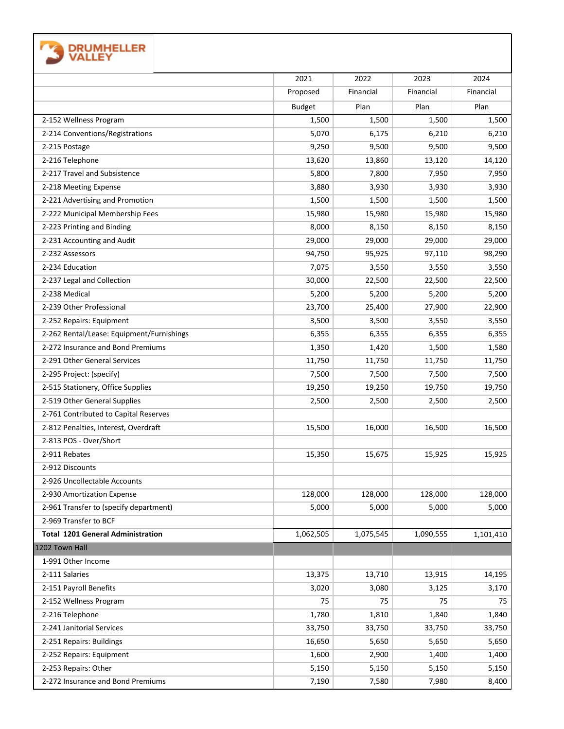| <b>DRUMHELLER</b>                         |               |           |           |           |
|-------------------------------------------|---------------|-----------|-----------|-----------|
|                                           | 2021          | 2022      | 2023      | 2024      |
|                                           | Proposed      | Financial | Financial | Financial |
|                                           | <b>Budget</b> | Plan      | Plan      | Plan      |
| 2-152 Wellness Program                    | 1,500         | 1,500     | 1,500     | 1,500     |
| 2-214 Conventions/Registrations           | 5,070         | 6,175     | 6,210     | 6,210     |
| 2-215 Postage                             | 9,250         | 9,500     | 9,500     | 9,500     |
| 2-216 Telephone                           | 13,620        | 13,860    | 13,120    | 14,120    |
| 2-217 Travel and Subsistence              | 5,800         | 7,800     | 7,950     | 7,950     |
| 2-218 Meeting Expense                     | 3,880         | 3,930     | 3,930     | 3,930     |
| 2-221 Advertising and Promotion           | 1,500         | 1,500     | 1,500     | 1,500     |
| 2-222 Municipal Membership Fees           | 15,980        | 15,980    | 15,980    | 15,980    |
| 2-223 Printing and Binding                | 8,000         | 8,150     | 8,150     | 8,150     |
| 2-231 Accounting and Audit                | 29,000        | 29,000    | 29,000    | 29,000    |
| 2-232 Assessors                           | 94,750        | 95,925    | 97,110    | 98,290    |
| 2-234 Education                           | 7,075         | 3,550     | 3,550     | 3,550     |
| 2-237 Legal and Collection                | 30,000        | 22,500    | 22,500    | 22,500    |
| 2-238 Medical                             | 5,200         | 5,200     | 5,200     | 5,200     |
| 2-239 Other Professional                  | 23,700        | 25,400    | 27,900    | 22,900    |
| 2-252 Repairs: Equipment                  | 3,500         | 3,500     | 3,550     | 3,550     |
| 2-262 Rental/Lease: Equipment/Furnishings | 6,355         | 6,355     | 6,355     | 6,355     |
| 2-272 Insurance and Bond Premiums         | 1,350         | 1,420     | 1,500     | 1,580     |
| 2-291 Other General Services              | 11,750        | 11,750    | 11,750    | 11,750    |
| 2-295 Project: (specify)                  | 7,500         | 7,500     | 7,500     | 7,500     |
| 2-515 Stationery, Office Supplies         | 19,250        | 19,250    | 19,750    | 19,750    |
| 2-519 Other General Supplies              | 2,500         | 2,500     | 2,500     | 2,500     |
| 2-761 Contributed to Capital Reserves     |               |           |           |           |
| 2-812 Penalties, Interest, Overdraft      | 15,500        | 16,000    | 16,500    | 16,500    |
| 2-813 POS - Over/Short                    |               |           |           |           |
| 2-911 Rebates                             | 15,350        | 15,675    | 15,925    | 15,925    |
| 2-912 Discounts                           |               |           |           |           |
| 2-926 Uncollectable Accounts              |               |           |           |           |
| 2-930 Amortization Expense                | 128,000       | 128,000   | 128,000   | 128,000   |
| 2-961 Transfer to (specify department)    | 5,000         | 5,000     | 5,000     | 5,000     |
| 2-969 Transfer to BCF                     |               |           |           |           |
| <b>Total 1201 General Administration</b>  | 1,062,505     | 1,075,545 | 1,090,555 | 1,101,410 |
| 1202 Town Hall                            |               |           |           |           |
| 1-991 Other Income                        |               |           |           |           |
| 2-111 Salaries                            | 13,375        | 13,710    | 13,915    | 14,195    |
| 2-151 Payroll Benefits                    | 3,020         | 3,080     | 3,125     | 3,170     |
| 2-152 Wellness Program                    | 75            | 75        | 75        | 75        |
| 2-216 Telephone                           | 1,780         | 1,810     | 1,840     | 1,840     |
| 2-241 Janitorial Services                 | 33,750        | 33,750    | 33,750    | 33,750    |
| 2-251 Repairs: Buildings                  | 16,650        | 5,650     | 5,650     | 5,650     |
| 2-252 Repairs: Equipment                  | 1,600         | 2,900     | 1,400     | 1,400     |
| 2-253 Repairs: Other                      | 5,150         | 5,150     | 5,150     | 5,150     |
| 2-272 Insurance and Bond Premiums         | 7,190         | 7,580     | 7,980     | 8,400     |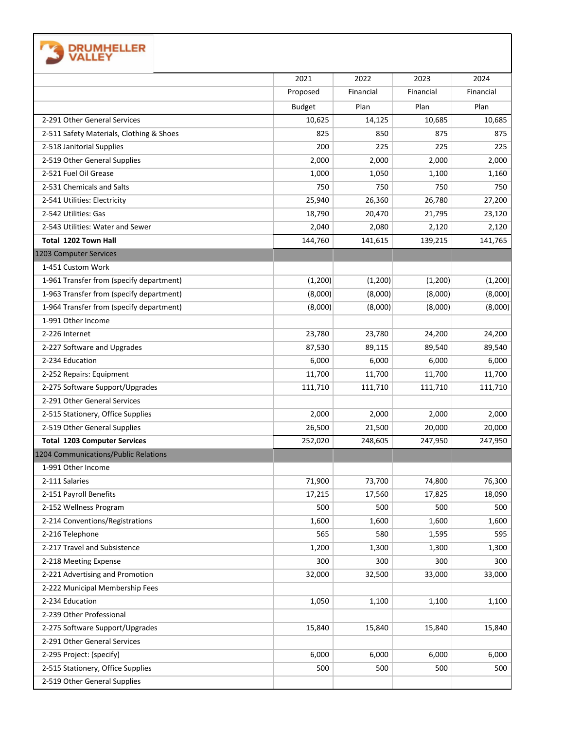| <b>TA DRUMHELLER</b><br><b>J</b> VALLEY |
|-----------------------------------------|
|-----------------------------------------|

|                                          | 2021          | 2022      | 2023      | 2024      |
|------------------------------------------|---------------|-----------|-----------|-----------|
|                                          | Proposed      | Financial | Financial | Financial |
|                                          | <b>Budget</b> | Plan      | Plan      | Plan      |
| 2-291 Other General Services             | 10,625        | 14,125    | 10,685    | 10,685    |
| 2-511 Safety Materials, Clothing & Shoes | 825           | 850       | 875       | 875       |
| 2-518 Janitorial Supplies                | 200           | 225       | 225       | 225       |
| 2-519 Other General Supplies             | 2,000         | 2,000     | 2,000     | 2,000     |
| 2-521 Fuel Oil Grease                    | 1,000         | 1,050     | 1,100     | 1,160     |
| 2-531 Chemicals and Salts                | 750           | 750       | 750       | 750       |
| 2-541 Utilities: Electricity             | 25,940        | 26,360    | 26,780    | 27,200    |
| 2-542 Utilities: Gas                     | 18,790        | 20,470    | 21,795    | 23,120    |
| 2-543 Utilities: Water and Sewer         | 2,040         | 2,080     | 2,120     | 2,120     |
| Total 1202 Town Hall                     | 144,760       | 141,615   | 139,215   | 141,765   |
| 1203 Computer Services                   |               |           |           |           |
| 1-451 Custom Work                        |               |           |           |           |
| 1-961 Transfer from (specify department) | (1,200)       | (1, 200)  | (1,200)   | (1,200)   |
| 1-963 Transfer from (specify department) | (8,000)       | (8,000)   | (8,000)   | (8,000)   |
| 1-964 Transfer from (specify department) | (8,000)       | (8,000)   | (8,000)   | (8,000)   |
| 1-991 Other Income                       |               |           |           |           |
| 2-226 Internet                           | 23,780        | 23,780    | 24,200    | 24,200    |
| 2-227 Software and Upgrades              | 87,530        | 89,115    | 89,540    | 89,540    |
| 2-234 Education                          | 6,000         | 6,000     | 6,000     | 6,000     |
| 2-252 Repairs: Equipment                 | 11,700        | 11,700    | 11,700    | 11,700    |
| 2-275 Software Support/Upgrades          | 111,710       | 111,710   | 111,710   | 111,710   |
| 2-291 Other General Services             |               |           |           |           |
| 2-515 Stationery, Office Supplies        | 2,000         | 2,000     | 2,000     | 2,000     |
| 2-519 Other General Supplies             | 26,500        | 21,500    | 20,000    | 20,000    |
| <b>Total 1203 Computer Services</b>      | 252,020       | 248,605   | 247,950   | 247,950   |
| 1204 Communications/Public Relations     |               |           |           |           |
| 1-991 Other Income                       |               |           |           |           |
| 2-111 Salaries                           | 71,900        | 73,700    | 74,800    | 76,300    |
| 2-151 Payroll Benefits                   | 17,215        | 17,560    | 17,825    | 18,090    |
| 2-152 Wellness Program                   | 500           | 500       | 500       | 500       |
| 2-214 Conventions/Registrations          | 1,600         | 1,600     | 1,600     | 1,600     |
| 2-216 Telephone                          | 565           | 580       | 1,595     | 595       |
| 2-217 Travel and Subsistence             | 1,200         | 1,300     | 1,300     | 1,300     |
| 2-218 Meeting Expense                    | 300           | 300       | 300       | 300       |
| 2-221 Advertising and Promotion          | 32,000        | 32,500    | 33,000    | 33,000    |
| 2-222 Municipal Membership Fees          |               |           |           |           |
| 2-234 Education                          | 1,050         | 1,100     | 1,100     | 1,100     |
| 2-239 Other Professional                 |               |           |           |           |
| 2-275 Software Support/Upgrades          | 15,840        | 15,840    | 15,840    | 15,840    |
| 2-291 Other General Services             |               |           |           |           |
| 2-295 Project: (specify)                 | 6,000         | 6,000     | 6,000     | 6,000     |
| 2-515 Stationery, Office Supplies        | 500           | 500       | 500       | 500       |
| 2-519 Other General Supplies             |               |           |           |           |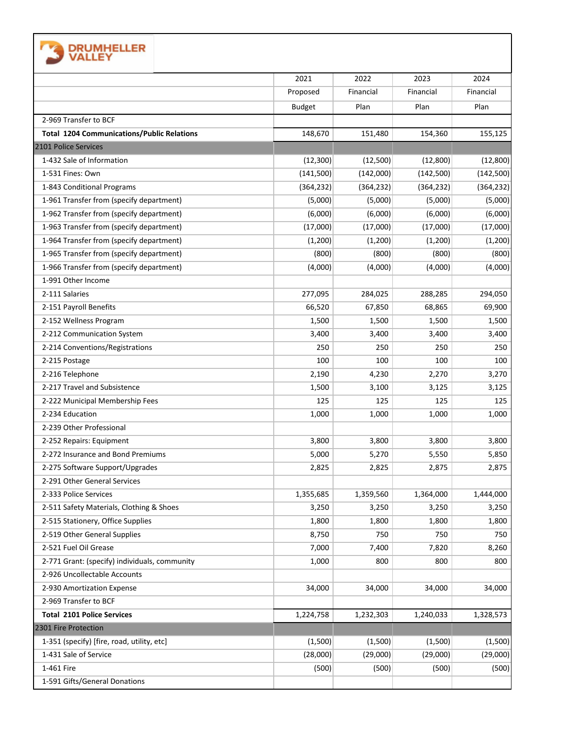| <b>DRUMHELLER</b>                                 |               |            |            |            |
|---------------------------------------------------|---------------|------------|------------|------------|
|                                                   | 2021          | 2022       | 2023       | 2024       |
|                                                   | Proposed      | Financial  | Financial  | Financial  |
|                                                   | <b>Budget</b> | Plan       | Plan       | Plan       |
| 2-969 Transfer to BCF                             |               |            |            |            |
| <b>Total 1204 Communications/Public Relations</b> | 148,670       | 151,480    | 154,360    | 155,125    |
| 2101 Police Services                              |               |            |            |            |
| 1-432 Sale of Information                         | (12, 300)     | (12,500)   | (12,800)   | (12,800)   |
| 1-531 Fines: Own                                  | (141,500)     | (142,000)  | (142,500)  | (142, 500) |
| 1-843 Conditional Programs                        | (364, 232)    | (364, 232) | (364, 232) | (364, 232) |
| 1-961 Transfer from (specify department)          | (5,000)       | (5,000)    | (5,000)    | (5,000)    |
| 1-962 Transfer from (specify department)          | (6,000)       | (6,000)    | (6,000)    | (6,000)    |
| 1-963 Transfer from (specify department)          | (17,000)      | (17,000)   | (17,000)   | (17,000)   |
| 1-964 Transfer from (specify department)          | (1,200)       | (1,200)    | (1,200)    | (1,200)    |
| 1-965 Transfer from (specify department)          | (800)         | (800)      | (800)      | (800)      |
| 1-966 Transfer from (specify department)          | (4,000)       | (4,000)    | (4,000)    | (4,000)    |
| 1-991 Other Income                                |               |            |            |            |
| 2-111 Salaries                                    | 277,095       | 284,025    | 288,285    | 294,050    |
| 2-151 Payroll Benefits                            | 66,520        | 67,850     | 68,865     | 69,900     |
| 2-152 Wellness Program                            | 1,500         | 1,500      | 1,500      | 1,500      |
| 2-212 Communication System                        | 3,400         | 3,400      | 3,400      | 3,400      |
| 2-214 Conventions/Registrations                   | 250           | 250        | 250        | 250        |
| 2-215 Postage                                     | 100           | 100        | 100        | 100        |
| 2-216 Telephone                                   | 2,190         | 4,230      | 2,270      | 3,270      |
| 2-217 Travel and Subsistence                      | 1,500         | 3,100      | 3,125      | 3,125      |
| 2-222 Municipal Membership Fees                   | 125           | 125        | 125        | 125        |
| 2-234 Education                                   | 1,000         | 1,000      | 1,000      | 1,000      |
| 2-239 Other Professional                          |               |            |            |            |
| 2-252 Repairs: Equipment                          | 3,800         | 3,800      | 3,800      | 3,800      |
| 2-272 Insurance and Bond Premiums                 | 5,000         | 5,270      | 5,550      | 5,850      |
| 2-275 Software Support/Upgrades                   | 2,825         | 2,825      | 2,875      | 2,875      |
| 2-291 Other General Services                      |               |            |            |            |
| 2-333 Police Services                             | 1,355,685     | 1,359,560  | 1,364,000  | 1,444,000  |
| 2-511 Safety Materials, Clothing & Shoes          | 3,250         | 3,250      | 3,250      | 3,250      |
| 2-515 Stationery, Office Supplies                 | 1,800         | 1,800      | 1,800      | 1,800      |
| 2-519 Other General Supplies                      | 8,750         | 750        | 750        | 750        |
| 2-521 Fuel Oil Grease                             | 7,000         | 7,400      | 7,820      | 8,260      |
| 2-771 Grant: (specify) individuals, community     | 1,000         | 800        | 800        | 800        |
| 2-926 Uncollectable Accounts                      |               |            |            |            |
| 2-930 Amortization Expense                        | 34,000        | 34,000     | 34,000     | 34,000     |
| 2-969 Transfer to BCF                             |               |            |            |            |
| <b>Total 2101 Police Services</b>                 |               |            |            |            |
| 2301 Fire Protection                              | 1,224,758     | 1,232,303  | 1,240,033  | 1,328,573  |
|                                                   |               |            |            |            |
| 1-351 (specify) [fire, road, utility, etc]        | (1,500)       | (1,500)    | (1,500)    | (1,500)    |
| 1-431 Sale of Service                             | (28,000)      | (29,000)   | (29,000)   | (29,000)   |
| 1-461 Fire                                        | (500)         | (500)      | (500)      | (500)      |
| 1-591 Gifts/General Donations                     |               |            |            |            |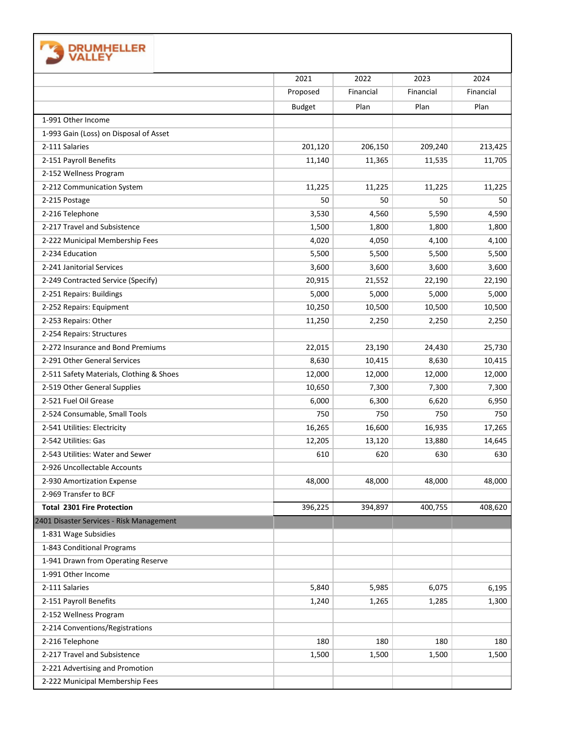|                                          | 2021          | 2022      | 2023      | 2024      |
|------------------------------------------|---------------|-----------|-----------|-----------|
|                                          | Proposed      | Financial | Financial | Financial |
|                                          | <b>Budget</b> | Plan      | Plan      | Plan      |
| 1-991 Other Income                       |               |           |           |           |
| 1-993 Gain (Loss) on Disposal of Asset   |               |           |           |           |
| 2-111 Salaries                           | 201,120       | 206,150   | 209,240   | 213,425   |
| 2-151 Payroll Benefits                   | 11,140        | 11,365    | 11,535    | 11,705    |
| 2-152 Wellness Program                   |               |           |           |           |
| 2-212 Communication System               | 11,225        | 11,225    | 11,225    | 11,225    |
| 2-215 Postage                            | 50            | 50        | 50        | 50        |
| 2-216 Telephone                          | 3,530         | 4,560     | 5,590     | 4,590     |
| 2-217 Travel and Subsistence             | 1,500         | 1,800     | 1,800     | 1,800     |
| 2-222 Municipal Membership Fees          | 4,020         | 4,050     | 4,100     | 4,100     |
| 2-234 Education                          | 5,500         | 5,500     | 5,500     | 5,500     |
| 2-241 Janitorial Services                | 3,600         | 3,600     | 3,600     | 3,600     |
| 2-249 Contracted Service (Specify)       | 20,915        | 21,552    | 22,190    | 22,190    |
| 2-251 Repairs: Buildings                 | 5,000         | 5,000     | 5,000     | 5,000     |
| 2-252 Repairs: Equipment                 | 10,250        | 10,500    | 10,500    | 10,500    |
| 2-253 Repairs: Other                     | 11,250        | 2,250     | 2,250     | 2,250     |
| 2-254 Repairs: Structures                |               |           |           |           |
| 2-272 Insurance and Bond Premiums        | 22,015        | 23,190    | 24,430    | 25,730    |
| 2-291 Other General Services             | 8,630         | 10,415    | 8,630     | 10,415    |
| 2-511 Safety Materials, Clothing & Shoes | 12,000        | 12,000    | 12,000    | 12,000    |
| 2-519 Other General Supplies             | 10,650        | 7,300     | 7,300     | 7,300     |
| 2-521 Fuel Oil Grease                    | 6,000         | 6,300     | 6,620     | 6,950     |
| 2-524 Consumable, Small Tools            | 750           | 750       | 750       | 750       |
| 2-541 Utilities: Electricity             | 16,265        | 16,600    | 16,935    | 17,265    |
| 2-542 Utilities: Gas                     | 12,205        | 13,120    | 13,880    | 14,645    |
| 2-543 Utilities: Water and Sewer         | 610           | 620       | 630       | 630       |
| 2-926 Uncollectable Accounts             |               |           |           |           |
| 2-930 Amortization Expense               | 48,000        | 48,000    | 48,000    | 48,000    |
| 2-969 Transfer to BCF                    |               |           |           |           |
| <b>Total 2301 Fire Protection</b>        | 396,225       | 394,897   | 400,755   | 408,620   |
| 2401 Disaster Services - Risk Management |               |           |           |           |
| 1-831 Wage Subsidies                     |               |           |           |           |
| 1-843 Conditional Programs               |               |           |           |           |
| 1-941 Drawn from Operating Reserve       |               |           |           |           |
| 1-991 Other Income                       |               |           |           |           |
| 2-111 Salaries                           | 5,840         | 5,985     | 6,075     | 6,195     |
| 2-151 Payroll Benefits                   | 1,240         | 1,265     | 1,285     | 1,300     |
| 2-152 Wellness Program                   |               |           |           |           |
| 2-214 Conventions/Registrations          |               |           |           |           |
| 2-216 Telephone                          | 180           | 180       | 180       | 180       |
| 2-217 Travel and Subsistence             | 1,500         | 1,500     | 1,500     | 1,500     |
| 2-221 Advertising and Promotion          |               |           |           |           |
| 2-222 Municipal Membership Fees          |               |           |           |           |

 $\Gamma$ 

 $\overline{\mathsf{I}}$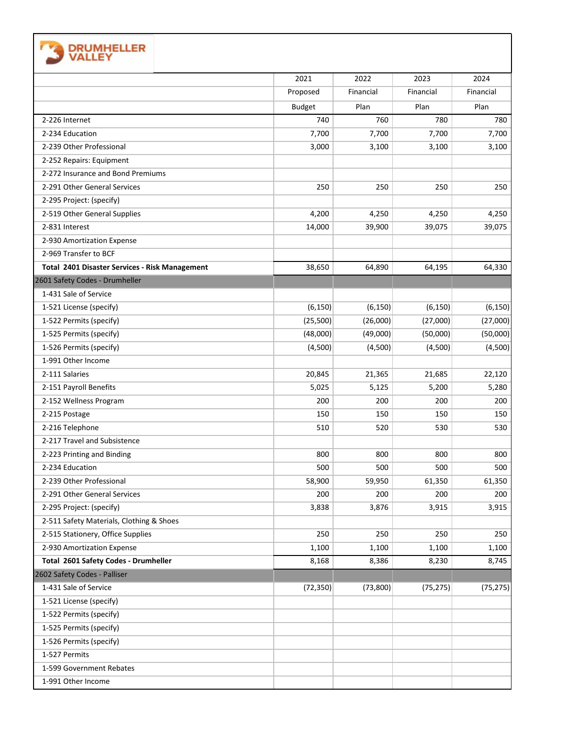| <b>DRUMHELLER</b><br>VALLEY                    |               |           |           |           |
|------------------------------------------------|---------------|-----------|-----------|-----------|
|                                                | 2021          | 2022      | 2023      | 2024      |
|                                                | Proposed      | Financial | Financial | Financial |
|                                                | <b>Budget</b> | Plan      | Plan      | Plan      |
| 2-226 Internet                                 | 740           | 760       | 780       | 780       |
| 2-234 Education                                | 7,700         | 7,700     | 7,700     | 7,700     |
| 2-239 Other Professional                       | 3,000         | 3,100     | 3,100     | 3,100     |
| 2-252 Repairs: Equipment                       |               |           |           |           |
| 2-272 Insurance and Bond Premiums              |               |           |           |           |
| 2-291 Other General Services                   | 250           | 250       | 250       | 250       |
| 2-295 Project: (specify)                       |               |           |           |           |
| 2-519 Other General Supplies                   | 4,200         | 4,250     | 4,250     | 4,250     |
| 2-831 Interest                                 | 14,000        | 39,900    | 39,075    | 39,075    |
| 2-930 Amortization Expense                     |               |           |           |           |
| 2-969 Transfer to BCF                          |               |           |           |           |
| Total 2401 Disaster Services - Risk Management | 38,650        | 64,890    | 64,195    | 64,330    |
| 2601 Safety Codes - Drumheller                 |               |           |           |           |
| 1-431 Sale of Service                          |               |           |           |           |
| 1-521 License (specify)                        | (6, 150)      | (6, 150)  | (6, 150)  | (6, 150)  |
| 1-522 Permits (specify)                        | (25,500)      | (26,000)  | (27,000)  | (27,000)  |
| 1-525 Permits (specify)                        | (48,000)      | (49,000)  | (50,000)  | (50,000)  |
| 1-526 Permits (specify)                        | (4,500)       | (4,500)   | (4,500)   | (4,500)   |
| 1-991 Other Income                             |               |           |           |           |
| 2-111 Salaries                                 | 20,845        | 21,365    | 21,685    | 22,120    |
| 2-151 Payroll Benefits                         | 5,025         | 5,125     | 5,200     | 5,280     |
| 2-152 Wellness Program                         | 200           | 200       | 200       | 200       |
| 2-215 Postage                                  | 150           | 150       | 150       | 150       |
| 2-216 Telephone                                | 510           | 520       | 530       | 530       |
| 2-217 Travel and Subsistence                   |               |           |           |           |
| 2-223 Printing and Binding                     | 800           | 800       | 800       | 800       |
| 2-234 Education                                | 500           | 500       | 500       | 500       |
| 2-239 Other Professional                       | 58,900        | 59,950    | 61,350    | 61,350    |
| 2-291 Other General Services                   | 200           | 200       | 200       | 200       |
| 2-295 Project: (specify)                       | 3,838         | 3,876     | 3,915     | 3,915     |
| 2-511 Safety Materials, Clothing & Shoes       |               |           |           |           |
| 2-515 Stationery, Office Supplies              | 250           | 250       | 250       | 250       |
| 2-930 Amortization Expense                     | 1,100         | 1,100     | 1,100     | 1,100     |
| Total 2601 Safety Codes - Drumheller           | 8,168         | 8,386     | 8,230     | 8,745     |
| 2602 Safety Codes - Palliser                   |               |           |           |           |
| 1-431 Sale of Service                          | (72, 350)     | (73,800)  | (75, 275) | (75, 275) |
| 1-521 License (specify)                        |               |           |           |           |
| 1-522 Permits (specify)                        |               |           |           |           |
| 1-525 Permits (specify)                        |               |           |           |           |
| 1-526 Permits (specify)                        |               |           |           |           |
| 1-527 Permits                                  |               |           |           |           |
| 1-599 Government Rebates                       |               |           |           |           |
| 1-991 Other Income                             |               |           |           |           |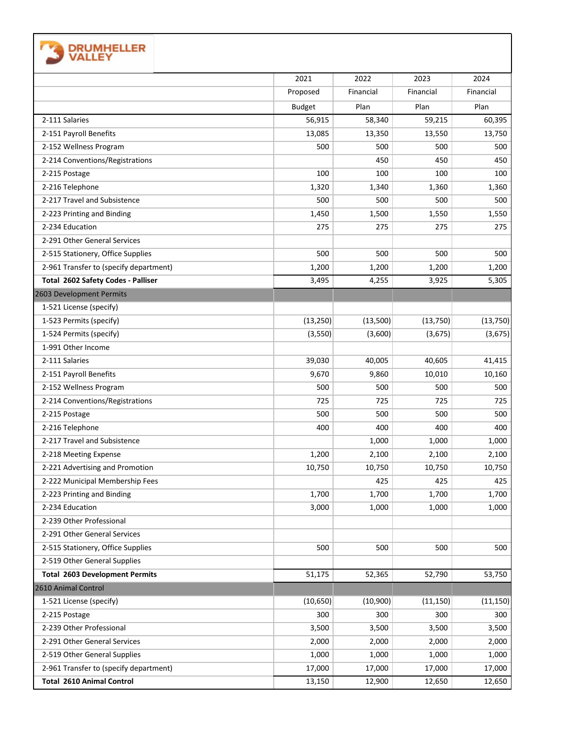| <b>DRUMHELLER</b><br>VALLEY            |               |           |           |           |
|----------------------------------------|---------------|-----------|-----------|-----------|
|                                        | 2021          | 2022      | 2023      | 2024      |
|                                        | Proposed      | Financial | Financial | Financial |
|                                        | <b>Budget</b> | Plan      | Plan      | Plan      |
| 2-111 Salaries                         | 56,915        | 58,340    | 59,215    | 60,395    |
| 2-151 Payroll Benefits                 | 13,085        | 13,350    | 13,550    | 13,750    |
| 2-152 Wellness Program                 | 500           | 500       | 500       | 500       |
| 2-214 Conventions/Registrations        |               | 450       | 450       | 450       |
| 2-215 Postage                          | 100           | 100       | 100       | 100       |
| 2-216 Telephone                        | 1,320         | 1,340     | 1,360     | 1,360     |
| 2-217 Travel and Subsistence           | 500           | 500       | 500       | 500       |
| 2-223 Printing and Binding             | 1,450         | 1,500     | 1,550     | 1,550     |
| 2-234 Education                        | 275           | 275       | 275       | 275       |
| 2-291 Other General Services           |               |           |           |           |
| 2-515 Stationery, Office Supplies      | 500           | 500       | 500       | 500       |
| 2-961 Transfer to (specify department) | 1,200         | 1,200     | 1,200     | 1,200     |
| Total 2602 Safety Codes - Palliser     | 3,495         | 4,255     | 3,925     | 5,305     |
| 2603 Development Permits               |               |           |           |           |
| 1-521 License (specify)                |               |           |           |           |
| 1-523 Permits (specify)                | (13, 250)     | (13,500)  | (13, 750) | (13, 750) |
| 1-524 Permits (specify)                | (3,550)       | (3,600)   | (3,675)   | (3,675)   |
| 1-991 Other Income                     |               |           |           |           |
| 2-111 Salaries                         | 39,030        | 40,005    | 40,605    | 41,415    |
| 2-151 Payroll Benefits                 | 9,670         | 9,860     | 10,010    | 10,160    |
| 2-152 Wellness Program                 | 500           | 500       | 500       | 500       |
| 2-214 Conventions/Registrations        | 725           | 725       | 725       | 725       |
| 2-215 Postage                          | 500           | 500       | 500       | 500       |
| 2-216 Telephone                        | 400           | 400       | 400       | 400       |
| 2-217 Travel and Subsistence           |               | 1,000     | 1,000     | 1,000     |
| 2-218 Meeting Expense                  | 1,200         | 2,100     | 2,100     | 2,100     |
| 2-221 Advertising and Promotion        | 10,750        | 10,750    | 10,750    | 10,750    |
| 2-222 Municipal Membership Fees        |               | 425       | 425       | 425       |
| 2-223 Printing and Binding             | 1,700         | 1,700     | 1,700     | 1,700     |
| 2-234 Education                        | 3,000         | 1,000     | 1,000     | 1,000     |
| 2-239 Other Professional               |               |           |           |           |
| 2-291 Other General Services           |               |           |           |           |
| 2-515 Stationery, Office Supplies      | 500           | 500       | 500       | 500       |
| 2-519 Other General Supplies           |               |           |           |           |
| <b>Total 2603 Development Permits</b>  | 51,175        | 52,365    | 52,790    | 53,750    |
| 2610 Animal Control                    |               |           |           |           |
| 1-521 License (specify)                | (10, 650)     | (10,900)  | (11, 150) | (11, 150) |
| 2-215 Postage                          | 300           | 300       | 300       | 300       |
| 2-239 Other Professional               | 3,500         | 3,500     | 3,500     | 3,500     |
| 2-291 Other General Services           | 2,000         | 2,000     | 2,000     | 2,000     |
| 2-519 Other General Supplies           | 1,000         | 1,000     | 1,000     | 1,000     |
| 2-961 Transfer to (specify department) | 17,000        | 17,000    | 17,000    | 17,000    |
| <b>Total 2610 Animal Control</b>       | 13,150        | 12,900    | 12,650    | 12,650    |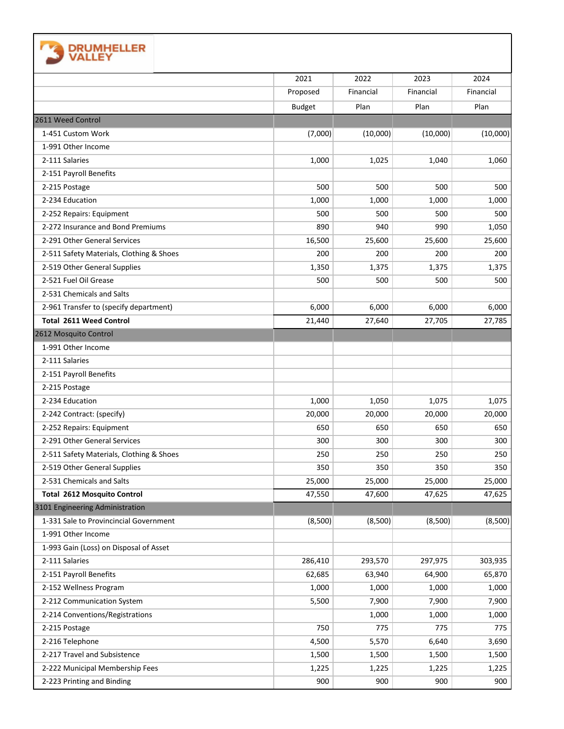| <b>DRUMHELLER</b>                        |               |           |           |           |
|------------------------------------------|---------------|-----------|-----------|-----------|
|                                          | 2021          | 2022      | 2023      | 2024      |
|                                          | Proposed      | Financial | Financial | Financial |
|                                          | <b>Budget</b> | Plan      | Plan      | Plan      |
| 2611 Weed Control                        |               |           |           |           |
| 1-451 Custom Work                        | (7,000)       | (10,000)  | (10,000)  | (10,000)  |
| 1-991 Other Income                       |               |           |           |           |
| 2-111 Salaries                           | 1,000         | 1,025     | 1,040     | 1,060     |
| 2-151 Payroll Benefits                   |               |           |           |           |
| 2-215 Postage                            | 500           | 500       | 500       | 500       |
| 2-234 Education                          | 1,000         | 1,000     | 1,000     | 1,000     |
| 2-252 Repairs: Equipment                 | 500           | 500       | 500       | 500       |
| 2-272 Insurance and Bond Premiums        | 890           | 940       | 990       | 1,050     |
| 2-291 Other General Services             | 16,500        | 25,600    | 25,600    | 25,600    |
| 2-511 Safety Materials, Clothing & Shoes | 200           | 200       | 200       | 200       |
| 2-519 Other General Supplies             | 1,350         | 1,375     | 1,375     | 1,375     |
| 2-521 Fuel Oil Grease                    | 500           | 500       | 500       | 500       |
| 2-531 Chemicals and Salts                |               |           |           |           |
| 2-961 Transfer to (specify department)   | 6,000         | 6,000     | 6,000     | 6,000     |
| <b>Total 2611 Weed Control</b>           | 21,440        | 27,640    | 27,705    | 27,785    |
| 2612 Mosquito Control                    |               |           |           |           |
| 1-991 Other Income                       |               |           |           |           |
| 2-111 Salaries                           |               |           |           |           |
| 2-151 Payroll Benefits                   |               |           |           |           |
| 2-215 Postage                            |               |           |           |           |
| 2-234 Education                          | 1,000         | 1,050     | 1,075     | 1,075     |
| 2-242 Contract: (specify)                | 20,000        | 20,000    | 20,000    | 20,000    |
| 2-252 Repairs: Equipment                 | 650           | 650       | 650       | 650       |
| 2-291 Other General Services             | 300           | 300       | 300       | 300       |
| 2-511 Safety Materials, Clothing & Shoes | 250           | 250       | 250       | 250       |
| 2-519 Other General Supplies             | 350           | 350       | 350       | 350       |
| 2-531 Chemicals and Salts                | 25,000        | 25,000    | 25,000    | 25,000    |
| <b>Total 2612 Mosquito Control</b>       | 47,550        | 47,600    | 47,625    | 47,625    |
| 3101 Engineering Administration          |               |           |           |           |
| 1-331 Sale to Provincincial Government   | (8,500)       | (8,500)   | (8,500)   | (8,500)   |
| 1-991 Other Income                       |               |           |           |           |
| 1-993 Gain (Loss) on Disposal of Asset   |               |           |           |           |
| 2-111 Salaries                           | 286,410       | 293,570   | 297,975   | 303,935   |
| 2-151 Payroll Benefits                   | 62,685        | 63,940    | 64,900    | 65,870    |
| 2-152 Wellness Program                   | 1,000         | 1,000     | 1,000     | 1,000     |
| 2-212 Communication System               | 5,500         | 7,900     | 7,900     | 7,900     |
| 2-214 Conventions/Registrations          |               | 1,000     | 1,000     | 1,000     |
| 2-215 Postage                            | 750           | 775       | 775       | 775       |
| 2-216 Telephone                          | 4,500         | 5,570     | 6,640     | 3,690     |
| 2-217 Travel and Subsistence             | 1,500         | 1,500     | 1,500     | 1,500     |
| 2-222 Municipal Membership Fees          | 1,225         | 1,225     | 1,225     | 1,225     |
| 2-223 Printing and Binding               | 900           | 900       | 900       | 900       |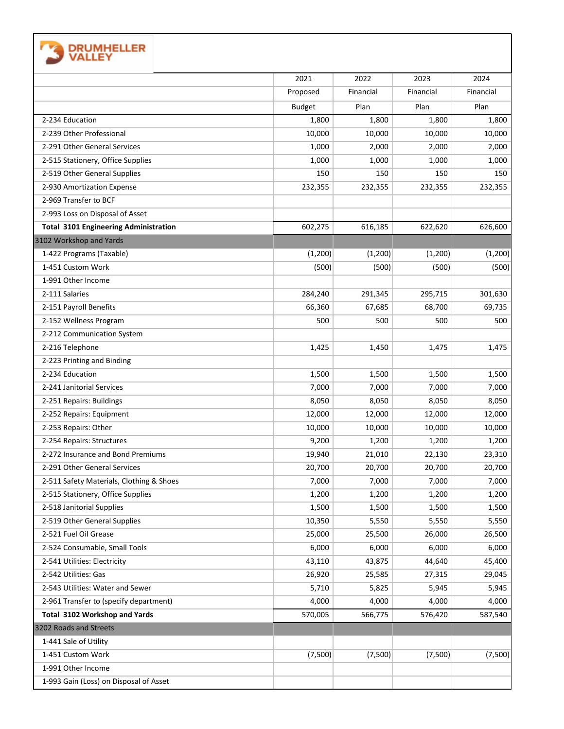| <b>DRUMHELLER</b><br><b>VALLEY</b>           |               |           |           |           |
|----------------------------------------------|---------------|-----------|-----------|-----------|
|                                              | 2021          | 2022      | 2023      | 2024      |
|                                              | Proposed      | Financial | Financial | Financial |
|                                              | <b>Budget</b> | Plan      | Plan      | Plan      |
| 2-234 Education                              | 1,800         | 1,800     | 1,800     | 1,800     |
| 2-239 Other Professional                     | 10,000        | 10,000    | 10,000    | 10,000    |
| 2-291 Other General Services                 | 1,000         | 2,000     | 2,000     | 2,000     |
| 2-515 Stationery, Office Supplies            | 1,000         | 1,000     | 1,000     | 1,000     |
| 2-519 Other General Supplies                 | 150           | 150       | 150       | 150       |
| 2-930 Amortization Expense                   | 232,355       | 232,355   | 232,355   | 232,355   |
| 2-969 Transfer to BCF                        |               |           |           |           |
| 2-993 Loss on Disposal of Asset              |               |           |           |           |
| <b>Total 3101 Engineering Administration</b> | 602,275       | 616,185   | 622,620   | 626,600   |
| 3102 Workshop and Yards                      |               |           |           |           |
| 1-422 Programs (Taxable)                     | (1,200)       | (1, 200)  | (1,200)   | (1, 200)  |
| 1-451 Custom Work                            | (500)         | (500)     | (500)     | (500)     |
| 1-991 Other Income                           |               |           |           |           |
| 2-111 Salaries                               | 284,240       | 291,345   | 295,715   | 301,630   |
| 2-151 Payroll Benefits                       | 66,360        | 67,685    | 68,700    | 69,735    |
| 2-152 Wellness Program                       | 500           | 500       | 500       | 500       |
| 2-212 Communication System                   |               |           |           |           |
| 2-216 Telephone                              | 1,425         | 1,450     | 1,475     | 1,475     |
| 2-223 Printing and Binding                   |               |           |           |           |
| 2-234 Education                              | 1,500         | 1,500     | 1,500     | 1,500     |
| 2-241 Janitorial Services                    | 7,000         | 7,000     | 7,000     | 7,000     |
| 2-251 Repairs: Buildings                     | 8,050         | 8,050     | 8,050     | 8,050     |
| 2-252 Repairs: Equipment                     | 12,000        | 12,000    | 12,000    | 12,000    |
| 2-253 Repairs: Other                         | 10,000        | 10,000    | 10,000    | 10,000    |
| 2-254 Repairs: Structures                    | 9,200         | 1,200     | 1,200     | 1,200     |
| 2-272 Insurance and Bond Premiums            | 19,940        | 21,010    | 22,130    | 23,310    |
| 2-291 Other General Services                 | 20,700        | 20,700    | 20,700    | 20,700    |
| 2-511 Safety Materials, Clothing & Shoes     | 7,000         | 7,000     | 7,000     | 7,000     |
| 2-515 Stationery, Office Supplies            | 1,200         | 1,200     | 1,200     | 1,200     |
| 2-518 Janitorial Supplies                    | 1,500         | 1,500     | 1,500     | 1,500     |
| 2-519 Other General Supplies                 | 10,350        | 5,550     | 5,550     | 5,550     |
| 2-521 Fuel Oil Grease                        | 25,000        | 25,500    | 26,000    | 26,500    |
| 2-524 Consumable, Small Tools                | 6,000         | 6,000     | 6,000     | 6,000     |
| 2-541 Utilities: Electricity                 | 43,110        | 43,875    | 44,640    | 45,400    |
| 2-542 Utilities: Gas                         | 26,920        | 25,585    | 27,315    | 29,045    |
| 2-543 Utilities: Water and Sewer             | 5,710         | 5,825     | 5,945     | 5,945     |
| 2-961 Transfer to (specify department)       | 4,000         | 4,000     | 4,000     | 4,000     |
| Total 3102 Workshop and Yards                | 570,005       | 566,775   | 576,420   | 587,540   |
| 3202 Roads and Streets                       |               |           |           |           |
| 1-441 Sale of Utility                        |               |           |           |           |
| 1-451 Custom Work                            | (7,500)       | (7,500)   | (7,500)   | (7,500)   |
| 1-991 Other Income                           |               |           |           |           |
| 1-993 Gain (Loss) on Disposal of Asset       |               |           |           |           |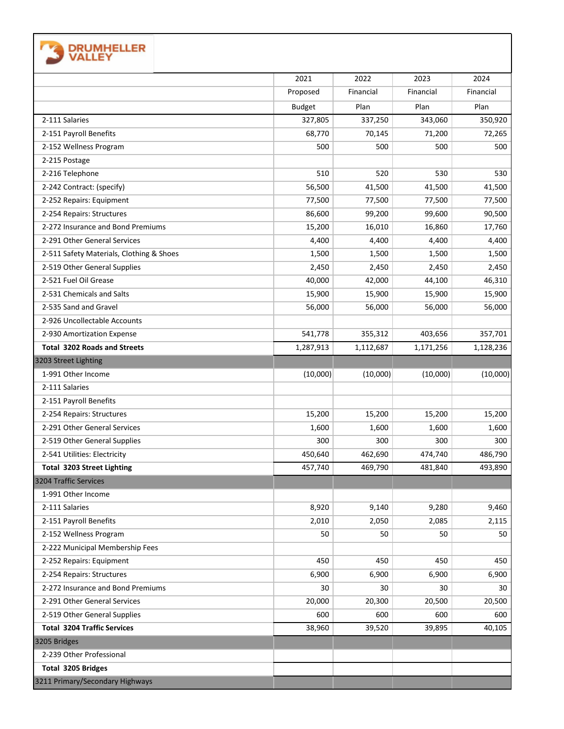| <b>DRUMHELLER</b><br><b>VALLEY</b>                           |               |           |           |           |
|--------------------------------------------------------------|---------------|-----------|-----------|-----------|
|                                                              | 2021          | 2022      | 2023      | 2024      |
|                                                              | Proposed      | Financial | Financial | Financial |
|                                                              | <b>Budget</b> | Plan      | Plan      | Plan      |
| 2-111 Salaries                                               | 327,805       | 337,250   | 343,060   | 350,920   |
| 2-151 Payroll Benefits                                       | 68,770        | 70,145    | 71,200    | 72,265    |
| 2-152 Wellness Program                                       | 500           | 500       | 500       | 500       |
| 2-215 Postage                                                |               |           |           |           |
| 2-216 Telephone                                              | 510           | 520       | 530       | 530       |
| 2-242 Contract: (specify)                                    | 56,500        | 41,500    | 41,500    | 41,500    |
| 2-252 Repairs: Equipment                                     | 77,500        | 77,500    | 77,500    | 77,500    |
| 2-254 Repairs: Structures                                    | 86,600        | 99,200    | 99,600    | 90,500    |
| 2-272 Insurance and Bond Premiums                            | 15,200        | 16,010    | 16,860    | 17,760    |
| 2-291 Other General Services                                 | 4,400         | 4,400     | 4,400     | 4,400     |
| 2-511 Safety Materials, Clothing & Shoes                     | 1,500         | 1,500     | 1,500     | 1,500     |
| 2-519 Other General Supplies                                 | 2,450         | 2,450     | 2,450     | 2,450     |
| 2-521 Fuel Oil Grease                                        | 40,000        | 42,000    | 44,100    | 46,310    |
| 2-531 Chemicals and Salts                                    | 15,900        | 15,900    | 15,900    | 15,900    |
| 2-535 Sand and Gravel                                        | 56,000        | 56,000    | 56,000    | 56,000    |
| 2-926 Uncollectable Accounts                                 |               |           |           |           |
| 2-930 Amortization Expense                                   | 541,778       | 355,312   | 403,656   | 357,701   |
| <b>Total 3202 Roads and Streets</b>                          | 1,287,913     | 1,112,687 | 1,171,256 | 1,128,236 |
| 3203 Street Lighting                                         |               |           |           |           |
| 1-991 Other Income                                           | (10,000)      | (10,000)  | (10,000)  | (10,000)  |
| 2-111 Salaries                                               |               |           |           |           |
| 2-151 Payroll Benefits                                       |               |           |           |           |
| 2-254 Repairs: Structures                                    | 15,200        | 15,200    | 15,200    | 15,200    |
| 2-291 Other General Services                                 | 1,600         | 1,600     | 1,600     | 1,600     |
| 2-519 Other General Supplies                                 | 300           | 300       | 300       | 300       |
| 2-541 Utilities: Electricity                                 | 450,640       | 462,690   | 474,740   | 486,790   |
| <b>Total 3203 Street Lighting</b>                            | 457,740       | 469,790   | 481,840   | 493,890   |
| 3204 Traffic Services                                        |               |           |           |           |
| 1-991 Other Income                                           |               |           |           |           |
| 2-111 Salaries                                               | 8,920         | 9,140     | 9,280     | 9,460     |
| 2-151 Payroll Benefits                                       | 2,010         | 2,050     | 2,085     | 2,115     |
| 2-152 Wellness Program                                       | 50            | 50        | 50        | 50        |
| 2-222 Municipal Membership Fees                              |               |           |           |           |
| 2-252 Repairs: Equipment                                     | 450           | 450       | 450       | 450       |
| 2-254 Repairs: Structures                                    | 6,900         | 6,900     | 6,900     | 6,900     |
| 2-272 Insurance and Bond Premiums                            | 30            | 30        | 30        | 30        |
| 2-291 Other General Services                                 | 20,000        | 20,300    | 20,500    | 20,500    |
| 2-519 Other General Supplies                                 | 600           | 600       | 600       | 600       |
| <b>Total 3204 Traffic Services</b>                           | 38,960        | 39,520    | 39,895    | 40,105    |
| 3205 Bridges                                                 |               |           |           |           |
|                                                              |               |           |           |           |
| 2-239 Other Professional                                     |               |           |           |           |
| <b>Total 3205 Bridges</b><br>3211 Primary/Secondary Highways |               |           |           |           |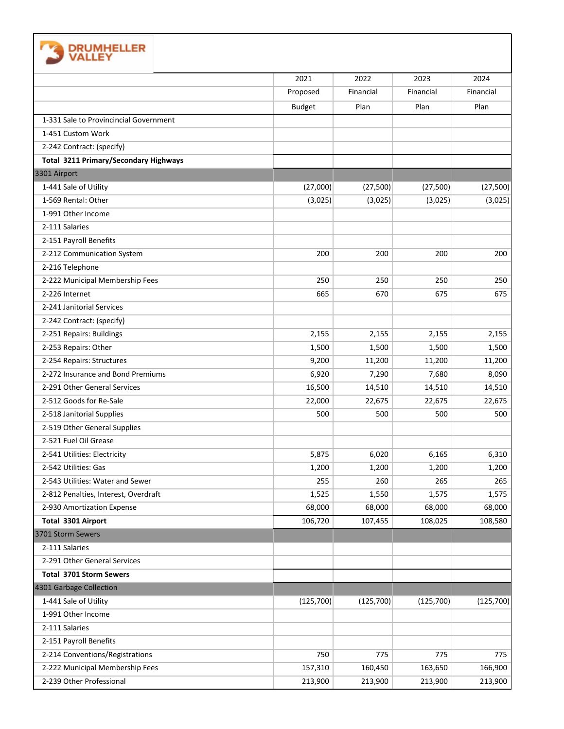

|                                              | 2021          | 2022       | 2023       | 2024       |
|----------------------------------------------|---------------|------------|------------|------------|
|                                              | Proposed      | Financial  | Financial  | Financial  |
|                                              | <b>Budget</b> | Plan       | Plan       | Plan       |
| 1-331 Sale to Provincincial Government       |               |            |            |            |
| 1-451 Custom Work                            |               |            |            |            |
| 2-242 Contract: (specify)                    |               |            |            |            |
| <b>Total 3211 Primary/Secondary Highways</b> |               |            |            |            |
| 3301 Airport                                 |               |            |            |            |
| 1-441 Sale of Utility                        | (27,000)      | (27, 500)  | (27,500)   | (27, 500)  |
| 1-569 Rental: Other                          | (3,025)       | (3,025)    | (3,025)    | (3,025)    |
| 1-991 Other Income                           |               |            |            |            |
| 2-111 Salaries                               |               |            |            |            |
| 2-151 Payroll Benefits                       |               |            |            |            |
| 2-212 Communication System                   | 200           | 200        | 200        | 200        |
| 2-216 Telephone                              |               |            |            |            |
| 2-222 Municipal Membership Fees              | 250           | 250        | 250        | 250        |
| 2-226 Internet                               | 665           | 670        | 675        | 675        |
| 2-241 Janitorial Services                    |               |            |            |            |
| 2-242 Contract: (specify)                    |               |            |            |            |
| 2-251 Repairs: Buildings                     | 2,155         | 2,155      | 2,155      | 2,155      |
| 2-253 Repairs: Other                         | 1,500         | 1,500      | 1,500      | 1,500      |
| 2-254 Repairs: Structures                    | 9,200         | 11,200     | 11,200     | 11,200     |
| 2-272 Insurance and Bond Premiums            | 6,920         | 7,290      | 7,680      | 8,090      |
| 2-291 Other General Services                 | 16,500        | 14,510     | 14,510     | 14,510     |
| 2-512 Goods for Re-Sale                      | 22,000        | 22,675     | 22,675     | 22,675     |
| 2-518 Janitorial Supplies                    | 500           | 500        | 500        | 500        |
| 2-519 Other General Supplies                 |               |            |            |            |
| 2-521 Fuel Oil Grease                        |               |            |            |            |
| 2-541 Utilities: Electricity                 | 5,875         | 6,020      | 6,165      | 6,310      |
| 2-542 Utilities: Gas                         | 1,200         | 1,200      | 1,200      | 1,200      |
| 2-543 Utilities: Water and Sewer             | 255           | 260        | 265        | 265        |
| 2-812 Penalties, Interest, Overdraft         | 1,525         | 1,550      | 1,575      | 1,575      |
| 2-930 Amortization Expense                   | 68,000        | 68,000     | 68,000     | 68,000     |
| Total 3301 Airport                           | 106,720       | 107,455    | 108,025    | 108,580    |
| 3701 Storm Sewers                            |               |            |            |            |
| 2-111 Salaries                               |               |            |            |            |
| 2-291 Other General Services                 |               |            |            |            |
| Total 3701 Storm Sewers                      |               |            |            |            |
| 4301 Garbage Collection                      |               |            |            |            |
| 1-441 Sale of Utility                        | (125, 700)    | (125, 700) | (125, 700) | (125, 700) |
| 1-991 Other Income                           |               |            |            |            |
| 2-111 Salaries                               |               |            |            |            |
| 2-151 Payroll Benefits                       |               |            |            |            |
| 2-214 Conventions/Registrations              | 750           | 775        | 775        | 775        |
| 2-222 Municipal Membership Fees              | 157,310       | 160,450    | 163,650    | 166,900    |
| 2-239 Other Professional                     | 213,900       | 213,900    | 213,900    | 213,900    |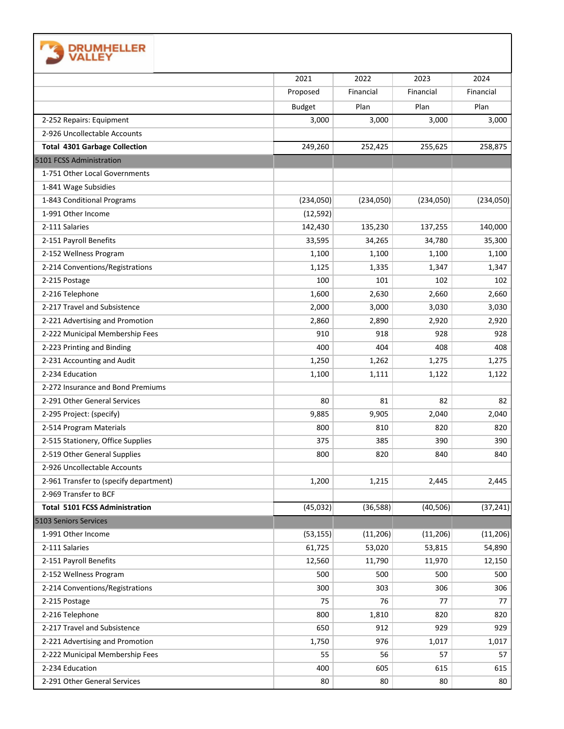| <b>DRUMHELLER</b><br><b>VALLEY</b>     |               |           |           |           |
|----------------------------------------|---------------|-----------|-----------|-----------|
|                                        | 2021          | 2022      | 2023      | 2024      |
|                                        | Proposed      | Financial | Financial | Financial |
|                                        | <b>Budget</b> | Plan      | Plan      | Plan      |
| 2-252 Repairs: Equipment               | 3,000         | 3,000     | 3,000     | 3,000     |
| 2-926 Uncollectable Accounts           |               |           |           |           |
| <b>Total 4301 Garbage Collection</b>   | 249,260       | 252,425   | 255,625   | 258,875   |
| 5101 FCSS Administration               |               |           |           |           |
| 1-751 Other Local Governments          |               |           |           |           |
| 1-841 Wage Subsidies                   |               |           |           |           |
| 1-843 Conditional Programs             | (234,050)     | (234,050) | (234,050) | (234,050) |
| 1-991 Other Income                     | (12, 592)     |           |           |           |
| 2-111 Salaries                         | 142,430       | 135,230   | 137,255   | 140,000   |
| 2-151 Payroll Benefits                 | 33,595        | 34,265    | 34,780    | 35,300    |
| 2-152 Wellness Program                 | 1,100         | 1,100     | 1,100     | 1,100     |
| 2-214 Conventions/Registrations        | 1,125         | 1,335     | 1,347     | 1,347     |
| 2-215 Postage                          | 100           | 101       | 102       | 102       |
| 2-216 Telephone                        | 1,600         | 2,630     | 2,660     | 2,660     |
| 2-217 Travel and Subsistence           | 2,000         | 3,000     | 3,030     | 3,030     |
| 2-221 Advertising and Promotion        | 2,860         | 2,890     | 2,920     | 2,920     |
| 2-222 Municipal Membership Fees        | 910           | 918       | 928       | 928       |
| 2-223 Printing and Binding             | 400           | 404       | 408       | 408       |
| 2-231 Accounting and Audit             | 1,250         | 1,262     | 1,275     | 1,275     |
| 2-234 Education                        | 1,100         | 1,111     | 1,122     | 1,122     |
| 2-272 Insurance and Bond Premiums      |               |           |           |           |
| 2-291 Other General Services           | 80            | 81        | 82        | 82        |
| 2-295 Project: (specify)               | 9,885         | 9,905     | 2,040     | 2,040     |
| 2-514 Program Materials                | 800           | 810       | 820       | 820       |
| 2-515 Stationery, Office Supplies      | 375           | 385       | 390       | 390       |
| 2-519 Other General Supplies           | 800           | 820       | 840       | 840       |
| 2-926 Uncollectable Accounts           |               |           |           |           |
| 2-961 Transfer to (specify department) | 1,200         | 1,215     | 2,445     | 2,445     |
| 2-969 Transfer to BCF                  |               |           |           |           |
| <b>Total 5101 FCSS Administration</b>  | (45, 032)     | (36, 588) | (40, 506) | (37, 241) |
| 5103 Seniors Services                  |               |           |           |           |
| 1-991 Other Income                     | (53, 155)     | (11, 206) | (11, 206) | (11, 206) |
| 2-111 Salaries                         | 61,725        | 53,020    | 53,815    | 54,890    |
| 2-151 Payroll Benefits                 | 12,560        | 11,790    | 11,970    | 12,150    |
| 2-152 Wellness Program                 | 500           | 500       | 500       | 500       |
| 2-214 Conventions/Registrations        | 300           | 303       | 306       | 306       |
| 2-215 Postage                          | 75            | 76        | 77        | 77        |
| 2-216 Telephone                        | 800           | 1,810     | 820       | 820       |
| 2-217 Travel and Subsistence           | 650           | 912       | 929       | 929       |
| 2-221 Advertising and Promotion        | 1,750         | 976       | 1,017     | 1,017     |
| 2-222 Municipal Membership Fees        | 55            | 56        | 57        | 57        |
| 2-234 Education                        | 400           | 605       | 615       | 615       |
| 2-291 Other General Services           | 80            | 80        | 80        | 80        |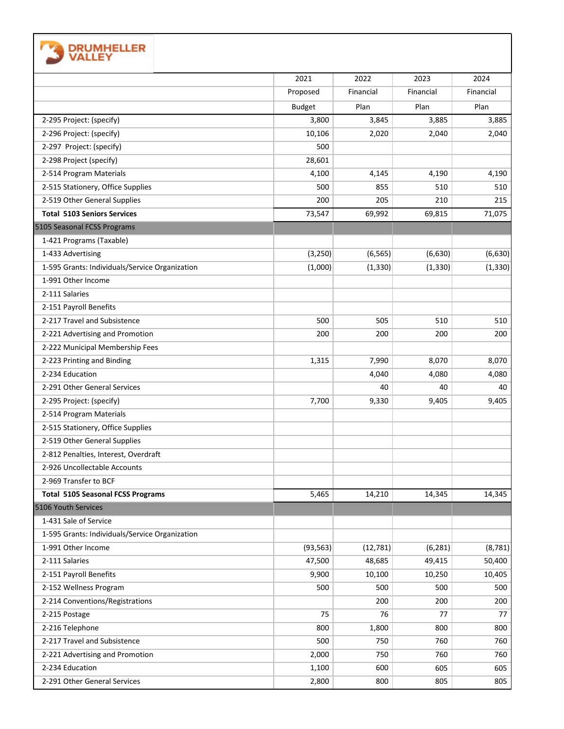| <b>DRUMHELLER</b><br>VALLEY                    |               |           |              |           |
|------------------------------------------------|---------------|-----------|--------------|-----------|
|                                                | 2021          | 2022      | 2023         | 2024      |
|                                                | Proposed      | Financial | Financial    | Financial |
|                                                | <b>Budget</b> | Plan      | Plan         | Plan      |
| 2-295 Project: (specify)                       | 3,800         | 3,845     | 3,885        | 3,885     |
| 2-296 Project: (specify)                       | 10,106        | 2,020     | 2,040        | 2,040     |
| 2-297 Project: (specify)                       | 500           |           |              |           |
| 2-298 Project (specify)                        | 28,601        |           |              |           |
| 2-514 Program Materials                        | 4,100         | 4,145     |              | 4,190     |
| 2-515 Stationery, Office Supplies              | 500           | 855       | 4,190<br>510 | 510       |
| 2-519 Other General Supplies                   | 200           | 205       | 210          | 215       |
| <b>Total 5103 Seniors Services</b>             |               |           |              |           |
|                                                | 73,547        | 69,992    | 69,815       | 71,075    |
| 5105 Seasonal FCSS Programs                    |               |           |              |           |
| 1-421 Programs (Taxable)                       |               |           |              |           |
| 1-433 Advertising                              | (3, 250)      | (6, 565)  | (6,630)      | (6,630)   |
| 1-595 Grants: Individuals/Service Organization | (1,000)       | (1, 330)  | (1, 330)     | (1, 330)  |
| 1-991 Other Income                             |               |           |              |           |
| 2-111 Salaries                                 |               |           |              |           |
| 2-151 Payroll Benefits                         |               |           |              |           |
| 2-217 Travel and Subsistence                   | 500           | 505       | 510          | 510       |
| 2-221 Advertising and Promotion                | 200           | 200       | 200          | 200       |
| 2-222 Municipal Membership Fees                |               |           |              |           |
| 2-223 Printing and Binding                     | 1,315         | 7,990     | 8,070        | 8,070     |
| 2-234 Education                                |               | 4,040     | 4,080        | 4,080     |
| 2-291 Other General Services                   |               | 40        | 40           | 40        |
| 2-295 Project: (specify)                       | 7,700         | 9,330     | 9,405        | 9,405     |
| 2-514 Program Materials                        |               |           |              |           |
| 2-515 Stationery, Office Supplies              |               |           |              |           |
| 2-519 Other General Supplies                   |               |           |              |           |
| 2-812 Penalties, Interest, Overdraft           |               |           |              |           |
| 2-926 Uncollectable Accounts                   |               |           |              |           |
| 2-969 Transfer to BCF                          |               |           |              |           |
| <b>Total 5105 Seasonal FCSS Programs</b>       | 5,465         | 14,210    | 14,345       | 14,345    |
| 5106 Youth Services                            |               |           |              |           |
| 1-431 Sale of Service                          |               |           |              |           |
| 1-595 Grants: Individuals/Service Organization |               |           |              |           |
| 1-991 Other Income                             | (93, 563)     | (12, 781) | (6, 281)     | (8, 781)  |
| 2-111 Salaries                                 | 47,500        | 48,685    | 49,415       | 50,400    |
| 2-151 Payroll Benefits                         | 9,900         | 10,100    | 10,250       | 10,405    |
| 2-152 Wellness Program                         | 500           | 500       | 500          | 500       |
| 2-214 Conventions/Registrations                |               | 200       | 200          | 200       |
| 2-215 Postage                                  | 75            | 76        | 77           | 77        |
| 2-216 Telephone                                | 800           | 1,800     | 800          | 800       |
| 2-217 Travel and Subsistence                   | 500           | 750       | 760          | 760       |
| 2-221 Advertising and Promotion                | 2,000         | 750       | 760          | 760       |
| 2-234 Education                                | 1,100         | 600       | 605          | 605       |
| 2-291 Other General Services                   | 2,800         | 800       | 805          | 805       |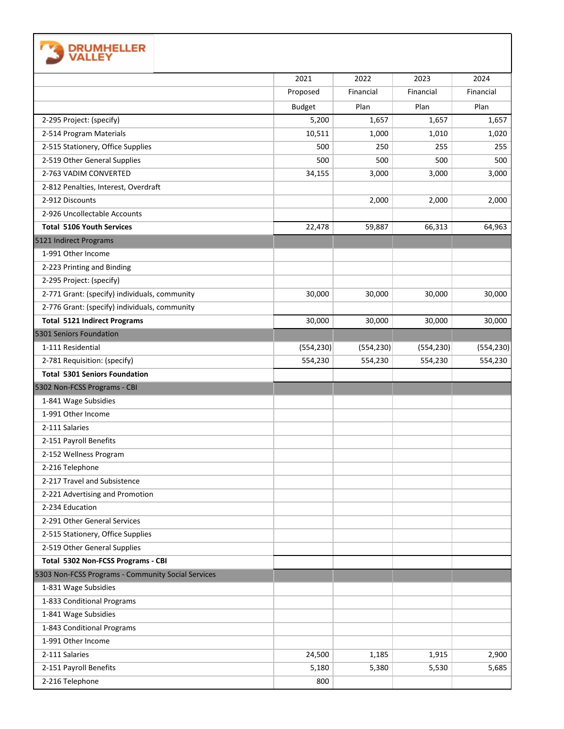| <b>DRUMHELLER</b><br>VALLEY                        |               |            |            |            |
|----------------------------------------------------|---------------|------------|------------|------------|
|                                                    | 2021          | 2022       | 2023       | 2024       |
|                                                    | Proposed      | Financial  | Financial  | Financial  |
|                                                    | <b>Budget</b> | Plan       | Plan       | Plan       |
| 2-295 Project: (specify)                           | 5,200         | 1,657      | 1,657      | 1,657      |
| 2-514 Program Materials                            | 10,511        | 1,000      | 1,010      | 1,020      |
| 2-515 Stationery, Office Supplies                  | 500           | 250        | 255        | 255        |
| 2-519 Other General Supplies                       | 500           | 500        | 500        | 500        |
| 2-763 VADIM CONVERTED                              | 34,155        | 3,000      | 3,000      |            |
| 2-812 Penalties, Interest, Overdraft               |               |            |            | 3,000      |
| 2-912 Discounts                                    |               | 2,000      | 2,000      | 2,000      |
|                                                    |               |            |            |            |
| 2-926 Uncollectable Accounts                       |               |            |            |            |
| <b>Total 5106 Youth Services</b>                   | 22,478        | 59,887     | 66,313     | 64,963     |
| 5121 Indirect Programs                             |               |            |            |            |
| 1-991 Other Income                                 |               |            |            |            |
| 2-223 Printing and Binding                         |               |            |            |            |
| 2-295 Project: (specify)                           |               |            |            |            |
| 2-771 Grant: (specify) individuals, community      | 30,000        | 30,000     | 30,000     | 30,000     |
| 2-776 Grant: (specify) individuals, community      |               |            |            |            |
| <b>Total 5121 Indirect Programs</b>                | 30,000        | 30,000     | 30,000     | 30,000     |
| 5301 Seniors Foundation                            |               |            |            |            |
| 1-111 Residential                                  | (554, 230)    | (554, 230) | (554, 230) | (554, 230) |
| 2-781 Requisition: (specify)                       | 554,230       | 554,230    | 554,230    | 554,230    |
| <b>Total 5301 Seniors Foundation</b>               |               |            |            |            |
| 5302 Non-FCSS Programs - CBI                       |               |            |            |            |
| 1-841 Wage Subsidies                               |               |            |            |            |
| 1-991 Other Income                                 |               |            |            |            |
| 2-111 Salaries                                     |               |            |            |            |
| 2-151 Payroll Benefits                             |               |            |            |            |
| 2-152 Wellness Program                             |               |            |            |            |
| 2-216 Telephone                                    |               |            |            |            |
| 2-217 Travel and Subsistence                       |               |            |            |            |
| 2-221 Advertising and Promotion                    |               |            |            |            |
| 2-234 Education                                    |               |            |            |            |
| 2-291 Other General Services                       |               |            |            |            |
| 2-515 Stationery, Office Supplies                  |               |            |            |            |
| 2-519 Other General Supplies                       |               |            |            |            |
| Total 5302 Non-FCSS Programs - CBI                 |               |            |            |            |
| 5303 Non-FCSS Programs - Community Social Services |               |            |            |            |
| 1-831 Wage Subsidies                               |               |            |            |            |
| 1-833 Conditional Programs                         |               |            |            |            |
| 1-841 Wage Subsidies                               |               |            |            |            |
| 1-843 Conditional Programs                         |               |            |            |            |
| 1-991 Other Income                                 |               |            |            |            |
| 2-111 Salaries                                     | 24,500        | 1,185      | 1,915      | 2,900      |
| 2-151 Payroll Benefits                             | 5,180         | 5,380      | 5,530      | 5,685      |
| 2-216 Telephone                                    | 800           |            |            |            |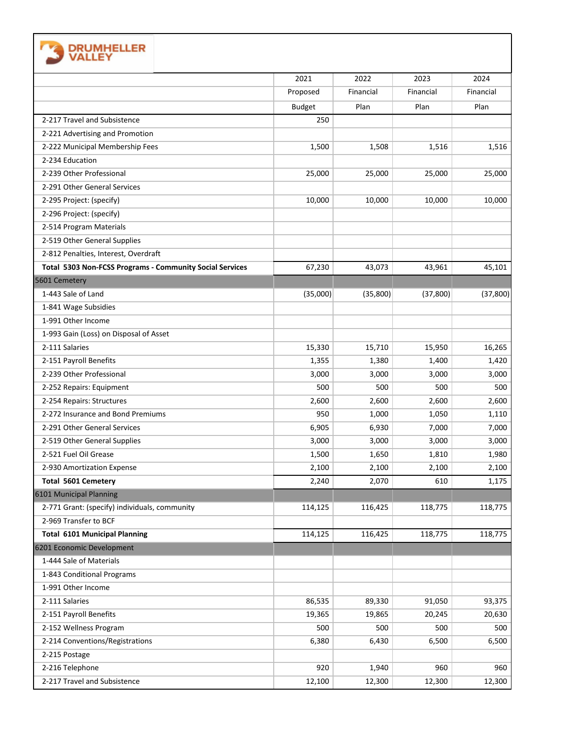| <b>DRUMHELLER</b><br>VALLEY                              |               |           |           |           |
|----------------------------------------------------------|---------------|-----------|-----------|-----------|
|                                                          | 2021          | 2022      | 2023      | 2024      |
|                                                          | Proposed      | Financial | Financial | Financial |
|                                                          | <b>Budget</b> | Plan      | Plan      | Plan      |
| 2-217 Travel and Subsistence                             | 250           |           |           |           |
| 2-221 Advertising and Promotion                          |               |           |           |           |
| 2-222 Municipal Membership Fees                          | 1,500         | 1,508     | 1,516     | 1,516     |
| 2-234 Education                                          |               |           |           |           |
| 2-239 Other Professional                                 | 25,000        | 25,000    | 25,000    | 25,000    |
| 2-291 Other General Services                             |               |           |           |           |
| 2-295 Project: (specify)                                 | 10,000        | 10,000    | 10,000    | 10,000    |
| 2-296 Project: (specify)                                 |               |           |           |           |
| 2-514 Program Materials                                  |               |           |           |           |
| 2-519 Other General Supplies                             |               |           |           |           |
| 2-812 Penalties, Interest, Overdraft                     |               |           |           |           |
| Total 5303 Non-FCSS Programs - Community Social Services | 67,230        | 43,073    | 43,961    | 45,101    |
| 5601 Cemetery                                            |               |           |           |           |
| 1-443 Sale of Land                                       | (35,000)      | (35,800)  | (37, 800) | (37, 800) |
| 1-841 Wage Subsidies                                     |               |           |           |           |
| 1-991 Other Income                                       |               |           |           |           |
| 1-993 Gain (Loss) on Disposal of Asset                   |               |           |           |           |
| 2-111 Salaries                                           | 15,330        | 15,710    | 15,950    | 16,265    |
| 2-151 Payroll Benefits                                   | 1,355         | 1,380     | 1,400     | 1,420     |
| 2-239 Other Professional                                 | 3,000         | 3,000     | 3,000     | 3,000     |
| 2-252 Repairs: Equipment                                 | 500           | 500       | 500       | 500       |
| 2-254 Repairs: Structures                                | 2,600         | 2,600     | 2,600     | 2,600     |
| 2-272 Insurance and Bond Premiums                        | 950           | 1,000     | 1,050     | 1,110     |
| 2-291 Other General Services                             | 6,905         | 6,930     | 7,000     | 7,000     |
| 2-519 Other General Supplies                             | 3,000         | 3,000     | 3,000     | 3,000     |
| 2-521 Fuel Oil Grease                                    | 1,500         | 1,650     | 1,810     | 1,980     |
| 2-930 Amortization Expense                               | 2,100         | 2,100     | 2,100     | 2,100     |
| <b>Total 5601 Cemetery</b>                               | 2,240         | 2,070     | 610       | 1,175     |
| 6101 Municipal Planning                                  |               |           |           |           |
| 2-771 Grant: (specify) individuals, community            | 114,125       | 116,425   | 118,775   | 118,775   |
| 2-969 Transfer to BCF                                    |               |           |           |           |
| <b>Total 6101 Municipal Planning</b>                     | 114,125       | 116,425   | 118,775   | 118,775   |
| 6201 Economic Development                                |               |           |           |           |
| 1-444 Sale of Materials                                  |               |           |           |           |
| 1-843 Conditional Programs                               |               |           |           |           |
| 1-991 Other Income                                       |               |           |           |           |
| 2-111 Salaries                                           | 86,535        | 89,330    | 91,050    | 93,375    |
| 2-151 Payroll Benefits                                   | 19,365        | 19,865    | 20,245    | 20,630    |
| 2-152 Wellness Program                                   | 500           | 500       | 500       | 500       |
| 2-214 Conventions/Registrations                          | 6,380         | 6,430     | 6,500     | 6,500     |
| 2-215 Postage                                            |               |           |           |           |
| 2-216 Telephone                                          | 920           | 1,940     | 960       | 960       |
| 2-217 Travel and Subsistence                             | 12,100        | 12,300    | 12,300    | 12,300    |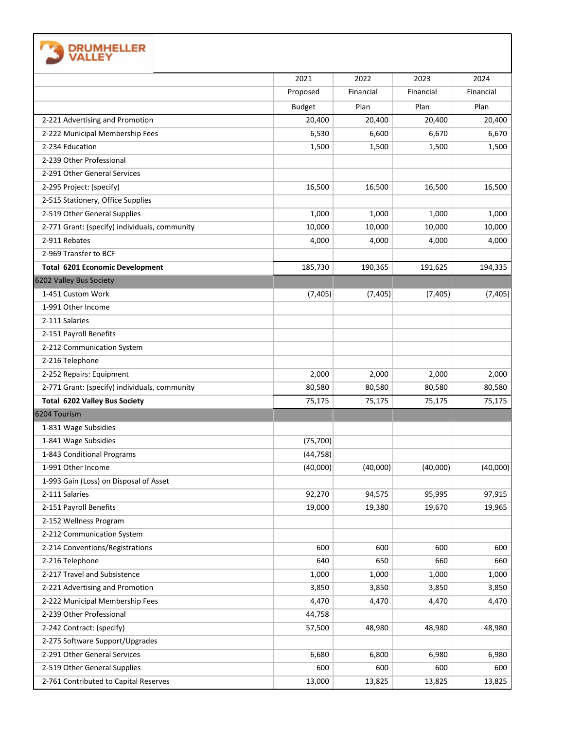| <b>DRUMHELLER</b>                             |               |           |           |           |
|-----------------------------------------------|---------------|-----------|-----------|-----------|
|                                               | 2021          | 2022      | 2023      | 2024      |
|                                               | Proposed      | Financial | Financial | Financial |
|                                               | <b>Budget</b> | Plan      | Plan      | Plan      |
| 2-221 Advertising and Promotion               | 20,400        | 20,400    | 20,400    | 20,400    |
| 2-222 Municipal Membership Fees               | 6,530         | 6,600     | 6,670     | 6,670     |
| 2-234 Education                               | 1,500         | 1,500     | 1,500     | 1,500     |
| 2-239 Other Professional                      |               |           |           |           |
| 2-291 Other General Services                  |               |           |           |           |
| 2-295 Project: (specify)                      | 16,500        | 16,500    | 16,500    | 16,500    |
| 2-515 Stationery, Office Supplies             |               |           |           |           |
| 2-519 Other General Supplies                  | 1,000         | 1,000     | 1,000     | 1,000     |
| 2-771 Grant: (specify) individuals, community | 10,000        | 10,000    | 10,000    | 10,000    |
| 2-911 Rebates                                 | 4,000         | 4,000     | 4,000     | 4,000     |
| 2-969 Transfer to BCF                         |               |           |           |           |
| <b>Total 6201 Economic Development</b>        | 185,730       | 190,365   | 191,625   | 194,335   |
| 6202 Valley Bus Society                       |               |           |           |           |
| 1-451 Custom Work                             | (7, 405)      | (7, 405)  | (7, 405)  | (7, 405)  |
| 1-991 Other Income                            |               |           |           |           |
| 2-111 Salaries                                |               |           |           |           |
| 2-151 Payroll Benefits                        |               |           |           |           |
| 2-212 Communication System                    |               |           |           |           |
| 2-216 Telephone                               |               |           |           |           |
| 2-252 Repairs: Equipment                      | 2,000         | 2,000     | 2,000     | 2,000     |
| 2-771 Grant: (specify) individuals, community | 80,580        | 80,580    | 80,580    | 80,580    |
| Total 6202 Valley Bus Society                 | 75,175        | 75,175    | 75,175    | 75,175    |
| 6204 Tourism                                  |               |           |           |           |
| 1-831 Wage Subsidies                          |               |           |           |           |
| 1-841 Wage Subsidies                          | (75, 700)     |           |           |           |
| 1-843 Conditional Programs                    | (44, 758)     |           |           |           |
| 1-991 Other Income                            | (40,000)      | (40,000)  | (40,000)  | (40,000)  |
| 1-993 Gain (Loss) on Disposal of Asset        |               |           |           |           |
| 2-111 Salaries                                | 92,270        | 94,575    | 95,995    | 97,915    |
| 2-151 Payroll Benefits                        | 19,000        | 19,380    | 19,670    | 19,965    |
| 2-152 Wellness Program                        |               |           |           |           |
| 2-212 Communication System                    |               |           |           |           |
| 2-214 Conventions/Registrations               | 600           | 600       | 600       | 600       |
| 2-216 Telephone                               | 640           | 650       | 660       | 660       |
| 2-217 Travel and Subsistence                  | 1,000         | 1,000     | 1,000     | 1,000     |
| 2-221 Advertising and Promotion               | 3,850         | 3,850     | 3,850     | 3,850     |
| 2-222 Municipal Membership Fees               | 4,470         | 4,470     | 4,470     | 4,470     |
| 2-239 Other Professional                      | 44,758        |           |           |           |
| 2-242 Contract: (specify)                     | 57,500        | 48,980    | 48,980    | 48,980    |
| 2-275 Software Support/Upgrades               |               |           |           |           |
| 2-291 Other General Services                  | 6,680         | 6,800     | 6,980     | 6,980     |
| 2-519 Other General Supplies                  | 600           | 600       | 600       | 600       |
| 2-761 Contributed to Capital Reserves         | 13,000        | 13,825    | 13,825    | 13,825    |
|                                               |               |           |           |           |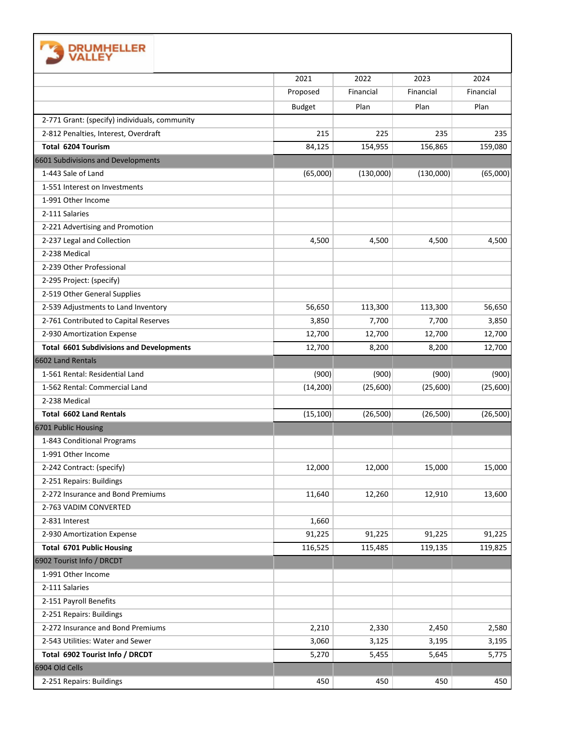

| <b>VALLE</b>                                    |               |           |           |           |
|-------------------------------------------------|---------------|-----------|-----------|-----------|
|                                                 | 2021          | 2022      | 2023      | 2024      |
|                                                 | Proposed      | Financial | Financial | Financial |
|                                                 | <b>Budget</b> | Plan      | Plan      | Plan      |
| 2-771 Grant: (specify) individuals, community   |               |           |           |           |
| 2-812 Penalties, Interest, Overdraft            | 215           | 225       | 235       | 235       |
| Total 6204 Tourism                              | 84,125        | 154,955   | 156,865   | 159,080   |
| 6601 Subdivisions and Developments              |               |           |           |           |
| 1-443 Sale of Land                              | (65,000)      | (130,000) | (130,000) | (65,000)  |
| 1-551 Interest on Investments                   |               |           |           |           |
| 1-991 Other Income                              |               |           |           |           |
| 2-111 Salaries                                  |               |           |           |           |
| 2-221 Advertising and Promotion                 |               |           |           |           |
| 2-237 Legal and Collection                      | 4,500         | 4,500     | 4,500     | 4,500     |
| 2-238 Medical                                   |               |           |           |           |
| 2-239 Other Professional                        |               |           |           |           |
| 2-295 Project: (specify)                        |               |           |           |           |
| 2-519 Other General Supplies                    |               |           |           |           |
| 2-539 Adjustments to Land Inventory             | 56,650        | 113,300   | 113,300   | 56,650    |
| 2-761 Contributed to Capital Reserves           | 3,850         | 7,700     | 7,700     | 3,850     |
| 2-930 Amortization Expense                      | 12,700        | 12,700    | 12,700    | 12,700    |
| <b>Total 6601 Subdivisions and Developments</b> | 12,700        | 8,200     | 8,200     | 12,700    |
| 6602 Land Rentals                               |               |           |           |           |
| 1-561 Rental: Residential Land                  | (900)         | (900)     | (900)     | (900)     |
| 1-562 Rental: Commercial Land                   | (14, 200)     | (25,600)  | (25,600)  | (25,600)  |
| 2-238 Medical                                   |               |           |           |           |
| <b>Total 6602 Land Rentals</b>                  | (15, 100)     | (26,500)  | (26, 500) | (26, 500) |
| 6701 Public Housing                             |               |           |           |           |
| 1-843 Conditional Programs                      |               |           |           |           |
| 1-991 Other Income                              |               |           |           |           |
| 2-242 Contract: (specify)                       | 12,000        | 12,000    | 15,000    | 15,000    |
| 2-251 Repairs: Buildings                        |               |           |           |           |
| 2-272 Insurance and Bond Premiums               | 11,640        | 12,260    | 12,910    | 13,600    |
| 2-763 VADIM CONVERTED                           |               |           |           |           |
| 2-831 Interest                                  | 1,660         |           |           |           |
| 2-930 Amortization Expense                      | 91,225        | 91,225    | 91,225    | 91,225    |
| <b>Total 6701 Public Housing</b>                | 116,525       | 115,485   | 119,135   | 119,825   |
| 6902 Tourist Info / DRCDT                       |               |           |           |           |
| 1-991 Other Income                              |               |           |           |           |
| 2-111 Salaries                                  |               |           |           |           |
| 2-151 Payroll Benefits                          |               |           |           |           |
| 2-251 Repairs: Buildings                        |               |           |           |           |
| 2-272 Insurance and Bond Premiums               | 2,210         | 2,330     | 2,450     | 2,580     |
| 2-543 Utilities: Water and Sewer                | 3,060         | 3,125     | 3,195     | 3,195     |
| Total 6902 Tourist Info / DRCDT                 | 5,270         | 5,455     | 5,645     | 5,775     |
| 6904 Old Cells                                  |               |           |           |           |
| 2-251 Repairs: Buildings                        | 450           | 450       | 450       | 450       |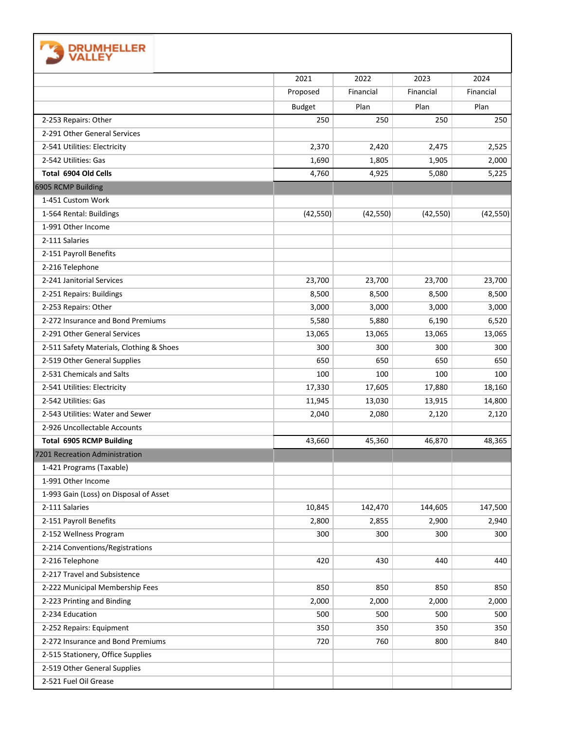| <b>DRUMHELLER</b><br>VALLEY              |               |           |           |           |
|------------------------------------------|---------------|-----------|-----------|-----------|
|                                          | 2021          | 2022      | 2023      | 2024      |
|                                          | Proposed      | Financial | Financial | Financial |
|                                          | <b>Budget</b> | Plan      | Plan      | Plan      |
| 2-253 Repairs: Other                     | 250           | 250       | 250       | 250       |
| 2-291 Other General Services             |               |           |           |           |
| 2-541 Utilities: Electricity             | 2,370         | 2,420     | 2,475     | 2,525     |
| 2-542 Utilities: Gas                     | 1,690         | 1,805     | 1,905     | 2,000     |
| Total 6904 Old Cells                     | 4,760         | 4,925     | 5,080     | 5,225     |
| 6905 RCMP Building                       |               |           |           |           |
| 1-451 Custom Work                        |               |           |           |           |
| 1-564 Rental: Buildings                  | (42, 550)     | (42, 550) | (42, 550) | (42, 550) |
| 1-991 Other Income                       |               |           |           |           |
| 2-111 Salaries                           |               |           |           |           |
| 2-151 Payroll Benefits                   |               |           |           |           |
| 2-216 Telephone                          |               |           |           |           |
| 2-241 Janitorial Services                | 23,700        | 23,700    | 23,700    | 23,700    |
| 2-251 Repairs: Buildings                 | 8,500         | 8,500     | 8,500     | 8,500     |
| 2-253 Repairs: Other                     | 3,000         | 3,000     | 3,000     | 3,000     |
| 2-272 Insurance and Bond Premiums        | 5,580         | 5,880     | 6,190     | 6,520     |
| 2-291 Other General Services             | 13,065        | 13,065    | 13,065    | 13,065    |
| 2-511 Safety Materials, Clothing & Shoes | 300           | 300       | 300       | 300       |
| 2-519 Other General Supplies             | 650           | 650       | 650       | 650       |
| 2-531 Chemicals and Salts                | 100           | 100       | 100       | 100       |
| 2-541 Utilities: Electricity             | 17,330        | 17,605    | 17,880    | 18,160    |
| 2-542 Utilities: Gas                     | 11,945        | 13,030    | 13,915    | 14,800    |
| 2-543 Utilities: Water and Sewer         | 2,040         | 2,080     | 2,120     | 2,120     |
| 2-926 Uncollectable Accounts             |               |           |           |           |
| <b>Total 6905 RCMP Building</b>          | 43,660        | 45,360    | 46,870    | 48,365    |
| 7201 Recreation Administration           |               |           |           |           |
| 1-421 Programs (Taxable)                 |               |           |           |           |
| 1-991 Other Income                       |               |           |           |           |
| 1-993 Gain (Loss) on Disposal of Asset   |               |           |           |           |
| 2-111 Salaries                           | 10,845        | 142,470   | 144,605   | 147,500   |
| 2-151 Payroll Benefits                   | 2,800         | 2,855     | 2,900     | 2,940     |
| 2-152 Wellness Program                   | 300           | 300       | 300       | 300       |
| 2-214 Conventions/Registrations          |               |           |           |           |
| 2-216 Telephone                          | 420           | 430       | 440       | 440       |
| 2-217 Travel and Subsistence             |               |           |           |           |
| 2-222 Municipal Membership Fees          | 850           | 850       | 850       | 850       |
| 2-223 Printing and Binding               | 2,000         | 2,000     | 2,000     | 2,000     |
| 2-234 Education                          | 500           | 500       | 500       | 500       |
| 2-252 Repairs: Equipment                 | 350           | 350       | 350       | 350       |
| 2-272 Insurance and Bond Premiums        | 720           | 760       | 800       | 840       |
| 2-515 Stationery, Office Supplies        |               |           |           |           |
| 2-519 Other General Supplies             |               |           |           |           |
| 2-521 Fuel Oil Grease                    |               |           |           |           |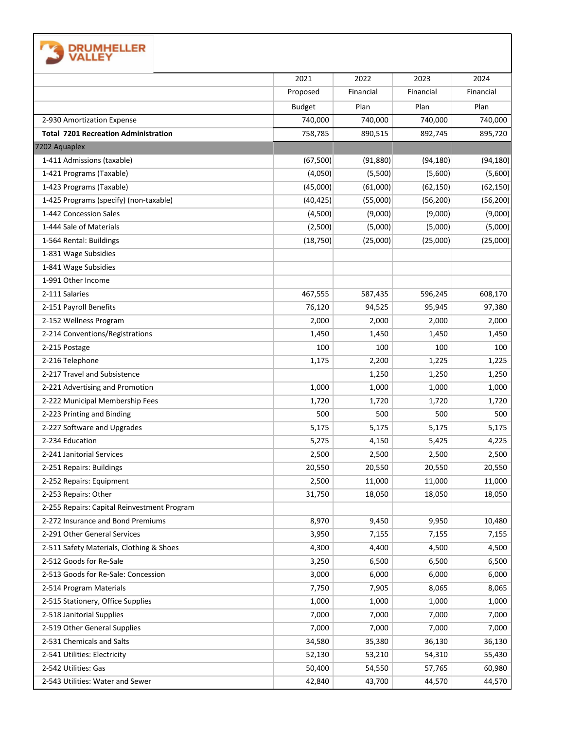|                                             | 2021          | 2022      | 2023      | 2024      |
|---------------------------------------------|---------------|-----------|-----------|-----------|
|                                             | Proposed      | Financial | Financial | Financial |
|                                             | <b>Budget</b> | Plan      | Plan      | Plan      |
| 2-930 Amortization Expense                  | 740,000       | 740,000   | 740,000   | 740,000   |
| <b>Total 7201 Recreation Administration</b> | 758,785       | 890,515   | 892,745   | 895,720   |
| 7202 Aquaplex                               |               |           |           |           |
| 1-411 Admissions (taxable)                  | (67, 500)     | (91, 880) | (94, 180) | (94, 180) |
| 1-421 Programs (Taxable)                    | (4,050)       | (5,500)   | (5,600)   | (5,600)   |
| 1-423 Programs (Taxable)                    | (45,000)      | (61,000)  | (62, 150) | (62, 150) |
| 1-425 Programs (specify) (non-taxable)      | (40, 425)     | (55,000)  | (56, 200) | (56, 200) |
| 1-442 Concession Sales                      | (4,500)       | (9,000)   | (9,000)   | (9,000)   |
| 1-444 Sale of Materials                     | (2,500)       | (5,000)   | (5,000)   | (5,000)   |
| 1-564 Rental: Buildings                     | (18, 750)     | (25,000)  | (25,000)  | (25,000)  |
| 1-831 Wage Subsidies                        |               |           |           |           |
| 1-841 Wage Subsidies                        |               |           |           |           |
| 1-991 Other Income                          |               |           |           |           |
| 2-111 Salaries                              | 467,555       | 587,435   | 596,245   | 608,170   |
| 2-151 Payroll Benefits                      | 76,120        | 94,525    | 95,945    | 97,380    |
| 2-152 Wellness Program                      | 2,000         | 2,000     | 2,000     | 2,000     |
| 2-214 Conventions/Registrations             | 1,450         | 1,450     | 1,450     | 1,450     |
| 2-215 Postage                               | 100           | 100       | 100       | 100       |
| 2-216 Telephone                             | 1,175         | 2,200     | 1,225     | 1,225     |
| 2-217 Travel and Subsistence                |               | 1,250     | 1,250     | 1,250     |
| 2-221 Advertising and Promotion             | 1,000         | 1,000     | 1,000     | 1,000     |
| 2-222 Municipal Membership Fees             | 1,720         | 1,720     | 1,720     | 1,720     |
| 2-223 Printing and Binding                  | 500           | 500       | 500       | 500       |
| 2-227 Software and Upgrades                 | 5,175         | 5,175     | 5,175     | 5,175     |
| 2-234 Education                             | 5,275         | 4,150     | 5,425     | 4,225     |
| 2-241 Janitorial Services                   | 2,500         | 2,500     | 2,500     | 2,500     |
| 2-251 Repairs: Buildings                    | 20,550        | 20,550    | 20,550    | 20,550    |
| 2-252 Repairs: Equipment                    | 2,500         | 11,000    | 11,000    | 11,000    |
| 2-253 Repairs: Other                        | 31,750        | 18,050    | 18,050    | 18,050    |
| 2-255 Repairs: Capital Reinvestment Program |               |           |           |           |
| 2-272 Insurance and Bond Premiums           | 8,970         | 9,450     | 9,950     | 10,480    |
| 2-291 Other General Services                | 3,950         | 7,155     | 7,155     | 7,155     |
| 2-511 Safety Materials, Clothing & Shoes    | 4,300         | 4,400     | 4,500     | 4,500     |
| 2-512 Goods for Re-Sale                     | 3,250         | 6,500     | 6,500     | 6,500     |
| 2-513 Goods for Re-Sale: Concession         | 3,000         | 6,000     | 6,000     | 6,000     |
| 2-514 Program Materials                     | 7,750         | 7,905     | 8,065     | 8,065     |
| 2-515 Stationery, Office Supplies           | 1,000         | 1,000     | 1,000     | 1,000     |
| 2-518 Janitorial Supplies                   | 7,000         | 7,000     | 7,000     | 7,000     |
| 2-519 Other General Supplies                | 7,000         | 7,000     | 7,000     | 7,000     |
| 2-531 Chemicals and Salts                   | 34,580        | 35,380    | 36,130    | 36,130    |
| 2-541 Utilities: Electricity                | 52,130        | 53,210    | 54,310    | 55,430    |
| 2-542 Utilities: Gas                        | 50,400        | 54,550    | 57,765    | 60,980    |
| 2-543 Utilities: Water and Sewer            | 42,840        | 43,700    | 44,570    | 44,570    |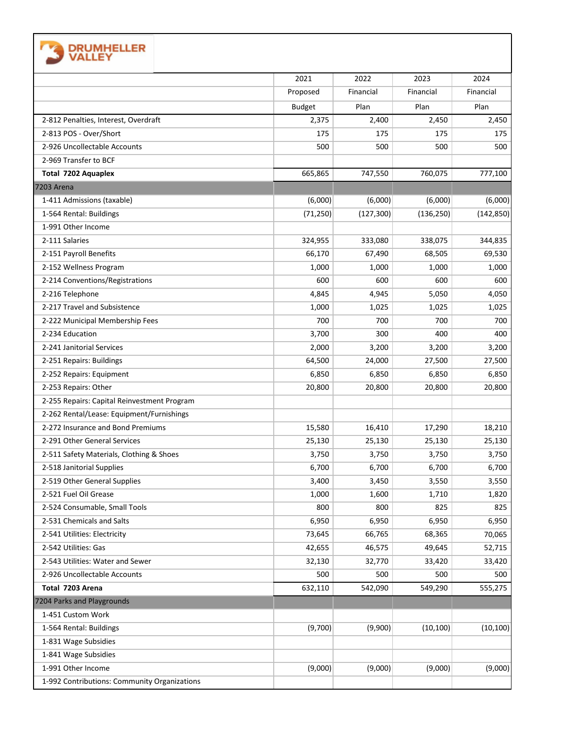|                                              | 2021          | 2022       | 2023       | 2024       |
|----------------------------------------------|---------------|------------|------------|------------|
|                                              | Proposed      | Financial  | Financial  | Financial  |
|                                              | <b>Budget</b> | Plan       | Plan       | Plan       |
| 2-812 Penalties, Interest, Overdraft         | 2,375         | 2,400      | 2,450      | 2,450      |
| 2-813 POS - Over/Short                       | 175           | 175        | 175        | 175        |
| 2-926 Uncollectable Accounts                 | 500           | 500        | 500        | 500        |
| 2-969 Transfer to BCF                        |               |            |            |            |
| <b>Total 7202 Aquaplex</b>                   | 665,865       | 747,550    | 760,075    | 777,100    |
| <b>7203 Arena</b>                            |               |            |            |            |
| 1-411 Admissions (taxable)                   | (6,000)       | (6,000)    | (6,000)    | (6,000)    |
| 1-564 Rental: Buildings                      | (71, 250)     | (127, 300) | (136, 250) | (142, 850) |
| 1-991 Other Income                           |               |            |            |            |
| 2-111 Salaries                               | 324,955       | 333,080    | 338,075    | 344,835    |
| 2-151 Payroll Benefits                       | 66,170        | 67,490     | 68,505     | 69,530     |
| 2-152 Wellness Program                       | 1,000         | 1,000      | 1,000      | 1,000      |
| 2-214 Conventions/Registrations              | 600           | 600        | 600        | 600        |
| 2-216 Telephone                              | 4,845         | 4,945      | 5,050      | 4,050      |
| 2-217 Travel and Subsistence                 | 1,000         | 1,025      | 1,025      | 1,025      |
| 2-222 Municipal Membership Fees              | 700           | 700        | 700        | 700        |
| 2-234 Education                              | 3,700         | 300        | 400        | 400        |
| 2-241 Janitorial Services                    | 2,000         | 3,200      | 3,200      | 3,200      |
| 2-251 Repairs: Buildings                     | 64,500        | 24,000     | 27,500     | 27,500     |
| 2-252 Repairs: Equipment                     | 6,850         | 6,850      | 6,850      | 6,850      |
| 2-253 Repairs: Other                         | 20,800        | 20,800     | 20,800     | 20,800     |
| 2-255 Repairs: Capital Reinvestment Program  |               |            |            |            |
| 2-262 Rental/Lease: Equipment/Furnishings    |               |            |            |            |
| 2-272 Insurance and Bond Premiums            | 15,580        | 16,410     | 17,290     | 18,210     |
| 2-291 Other General Services                 | 25,130        | 25,130     | 25,130     | 25,130     |
| 2-511 Safety Materials, Clothing & Shoes     | 3,750         | 3,750      | 3,750      | 3,750      |
| 2-518 Janitorial Supplies                    | 6,700         | 6,700      | 6,700      | 6,700      |
| 2-519 Other General Supplies                 | 3,400         | 3,450      | 3,550      | 3,550      |
| 2-521 Fuel Oil Grease                        | 1,000         | 1,600      | 1,710      | 1,820      |
| 2-524 Consumable, Small Tools                | 800           | 800        | 825        | 825        |
| 2-531 Chemicals and Salts                    | 6,950         | 6,950      | 6,950      | 6,950      |
| 2-541 Utilities: Electricity                 | 73,645        | 66,765     | 68,365     | 70,065     |
| 2-542 Utilities: Gas                         | 42,655        | 46,575     | 49,645     | 52,715     |
| 2-543 Utilities: Water and Sewer             | 32,130        | 32,770     | 33,420     | 33,420     |
| 2-926 Uncollectable Accounts                 | 500           | 500        | 500        | 500        |
| Total 7203 Arena                             | 632,110       | 542,090    | 549,290    | 555,275    |
| 7204 Parks and Playgrounds                   |               |            |            |            |
| 1-451 Custom Work                            |               |            |            |            |
| 1-564 Rental: Buildings                      | (9,700)       | (9,900)    | (10, 100)  | (10, 100)  |
| 1-831 Wage Subsidies                         |               |            |            |            |
| 1-841 Wage Subsidies                         |               |            |            |            |
| 1-991 Other Income                           | (9,000)       | (9,000)    | (9,000)    | (9,000)    |
| 1-992 Contributions: Community Organizations |               |            |            |            |

Е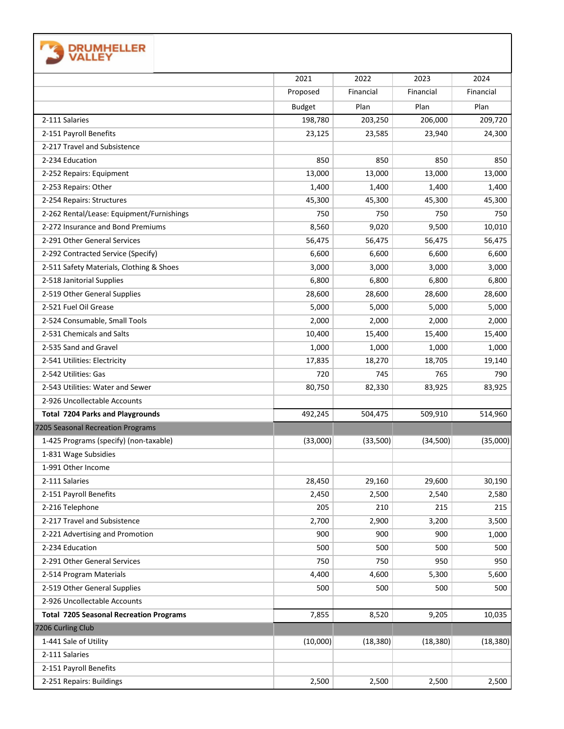| <b>DRUMHELLER</b><br>VALLEY                    |               |           |           |           |
|------------------------------------------------|---------------|-----------|-----------|-----------|
|                                                | 2021          | 2022      | 2023      | 2024      |
|                                                | Proposed      | Financial | Financial | Financial |
|                                                | <b>Budget</b> | Plan      | Plan      | Plan      |
| 2-111 Salaries                                 | 198,780       | 203,250   | 206,000   | 209,720   |
| 2-151 Payroll Benefits                         | 23,125        | 23,585    | 23,940    | 24,300    |
| 2-217 Travel and Subsistence                   |               |           |           |           |
| 2-234 Education                                | 850           | 850       | 850       | 850       |
| 2-252 Repairs: Equipment                       | 13,000        | 13,000    | 13,000    | 13,000    |
| 2-253 Repairs: Other                           | 1,400         | 1,400     | 1,400     | 1,400     |
| 2-254 Repairs: Structures                      | 45,300        | 45,300    | 45,300    | 45,300    |
| 2-262 Rental/Lease: Equipment/Furnishings      | 750           | 750       | 750       | 750       |
| 2-272 Insurance and Bond Premiums              | 8,560         | 9,020     | 9,500     | 10,010    |
| 2-291 Other General Services                   | 56,475        | 56,475    | 56,475    | 56,475    |
| 2-292 Contracted Service (Specify)             | 6,600         | 6,600     | 6,600     | 6,600     |
| 2-511 Safety Materials, Clothing & Shoes       | 3,000         | 3,000     | 3,000     | 3,000     |
| 2-518 Janitorial Supplies                      | 6,800         | 6,800     | 6,800     | 6,800     |
| 2-519 Other General Supplies                   | 28,600        | 28,600    | 28,600    | 28,600    |
| 2-521 Fuel Oil Grease                          | 5,000         | 5,000     | 5,000     | 5,000     |
| 2-524 Consumable, Small Tools                  | 2,000         | 2,000     | 2,000     | 2,000     |
| 2-531 Chemicals and Salts                      | 10,400        | 15,400    | 15,400    | 15,400    |
| 2-535 Sand and Gravel                          | 1,000         | 1,000     | 1,000     | 1,000     |
| 2-541 Utilities: Electricity                   | 17,835        | 18,270    | 18,705    | 19,140    |
| 2-542 Utilities: Gas                           | 720           | 745       | 765       | 790       |
| 2-543 Utilities: Water and Sewer               | 80,750        | 82,330    | 83,925    | 83,925    |
| 2-926 Uncollectable Accounts                   |               |           |           |           |
| <b>Total 7204 Parks and Playgrounds</b>        | 492,245       | 504,475   | 509,910   | 514,960   |
| 7205 Seasonal Recreation Programs              |               |           |           |           |
| 1-425 Programs (specify) (non-taxable)         | (33,000)      | (33,500)  | (34,500)  | (35,000)  |
| 1-831 Wage Subsidies                           |               |           |           |           |
| 1-991 Other Income                             |               |           |           |           |
| 2-111 Salaries                                 | 28,450        | 29,160    | 29,600    | 30,190    |
| 2-151 Payroll Benefits                         | 2,450         | 2,500     | 2,540     | 2,580     |
| 2-216 Telephone                                | 205           | 210       | 215       | 215       |
| 2-217 Travel and Subsistence                   | 2,700         | 2,900     | 3,200     | 3,500     |
| 2-221 Advertising and Promotion                | 900           | 900       | 900       | 1,000     |
| 2-234 Education                                | 500           | 500       | 500       | 500       |
| 2-291 Other General Services                   | 750           | 750       | 950       | 950       |
| 2-514 Program Materials                        | 4,400         | 4,600     | 5,300     | 5,600     |
| 2-519 Other General Supplies                   | 500           | 500       | 500       | 500       |
| 2-926 Uncollectable Accounts                   |               |           |           |           |
| <b>Total 7205 Seasonal Recreation Programs</b> | 7,855         | 8,520     | 9,205     | 10,035    |
| 7206 Curling Club                              |               |           |           |           |
| 1-441 Sale of Utility                          | (10,000)      | (18, 380) | (18, 380) | (18, 380) |
| 2-111 Salaries                                 |               |           |           |           |
| 2-151 Payroll Benefits                         |               |           |           |           |
| 2-251 Repairs: Buildings                       | 2,500         | 2,500     | 2,500     | 2,500     |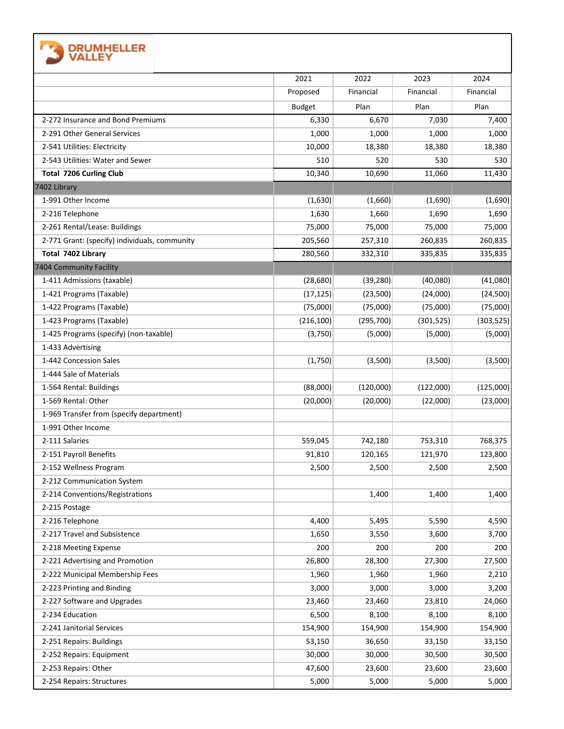| <b>EXAMPLE DRUMHELLER</b><br><b>WALLEY</b> |
|--------------------------------------------|
|                                            |

|                                               | 2021          | 2022       | 2023       | 2024       |
|-----------------------------------------------|---------------|------------|------------|------------|
|                                               | Proposed      | Financial  | Financial  | Financial  |
|                                               | <b>Budget</b> | Plan       | Plan       | Plan       |
| 2-272 Insurance and Bond Premiums             | 6,330         | 6,670      | 7,030      | 7,400      |
| 2-291 Other General Services                  | 1,000         | 1,000      | 1,000      | 1,000      |
| 2-541 Utilities: Electricity                  | 10,000        | 18,380     | 18,380     | 18,380     |
| 2-543 Utilities: Water and Sewer              | 510           | 520        | 530        | 530        |
| <b>Total 7206 Curling Club</b>                | 10,340        | 10,690     | 11,060     | 11,430     |
| 7402 Library                                  |               |            |            |            |
| 1-991 Other Income                            | (1,630)       | (1,660)    | (1,690)    | (1,690)    |
| 2-216 Telephone                               | 1,630         | 1,660      | 1,690      | 1,690      |
| 2-261 Rental/Lease: Buildings                 | 75,000        | 75,000     | 75,000     | 75,000     |
| 2-771 Grant: (specify) individuals, community | 205,560       | 257,310    | 260,835    | 260,835    |
| Total 7402 Library                            | 280,560       | 332,310    | 335,835    | 335,835    |
| 7404 Community Facility                       |               |            |            |            |
| 1-411 Admissions (taxable)                    | (28, 680)     | (39, 280)  | (40,080)   | (41,080)   |
| 1-421 Programs (Taxable)                      | (17, 125)     | (23,500)   | (24,000)   | (24, 500)  |
| 1-422 Programs (Taxable)                      | (75,000)      | (75,000)   | (75,000)   | (75,000)   |
| 1-423 Programs (Taxable)                      | (216, 100)    | (295, 700) | (301, 525) | (303, 525) |
| 1-425 Programs (specify) (non-taxable)        | (3,750)       | (5,000)    | (5,000)    | (5,000)    |
| 1-433 Advertising                             |               |            |            |            |
| 1-442 Concession Sales                        | (1,750)       | (3,500)    | (3,500)    | (3,500)    |
| 1-444 Sale of Materials                       |               |            |            |            |
| 1-564 Rental: Buildings                       | (88,000)      | (120,000)  | (122,000)  | (125,000)  |
| 1-569 Rental: Other                           | (20,000)      | (20,000)   | (22,000)   | (23,000)   |
| 1-969 Transfer from (specify department)      |               |            |            |            |
| 1-991 Other Income                            |               |            |            |            |
| 2-111 Salaries                                | 559,045       | 742,180    | 753,310    | 768,375    |
| 2-151 Payroll Benefits                        | 91,810        | 120,165    | 121,970    | 123,800    |
| 2-152 Wellness Program                        | 2,500         | 2,500      | 2,500      | 2,500      |
| 2-212 Communication System                    |               |            |            |            |
| 2-214 Conventions/Registrations               |               | 1,400      | 1,400      | 1,400      |
| 2-215 Postage                                 |               |            |            |            |
| 2-216 Telephone                               | 4,400         | 5,495      | 5,590      | 4,590      |
| 2-217 Travel and Subsistence                  | 1,650         | 3,550      | 3,600      | 3,700      |
| 2-218 Meeting Expense                         | 200           | 200        | 200        | 200        |
| 2-221 Advertising and Promotion               | 26,800        | 28,300     | 27,300     | 27,500     |
| 2-222 Municipal Membership Fees               | 1,960         | 1,960      | 1,960      | 2,210      |
| 2-223 Printing and Binding                    | 3,000         | 3,000      | 3,000      | 3,200      |
| 2-227 Software and Upgrades                   | 23,460        | 23,460     | 23,810     | 24,060     |
| 2-234 Education                               | 6,500         | 8,100      | 8,100      | 8,100      |
| 2-241 Janitorial Services                     | 154,900       | 154,900    | 154,900    | 154,900    |
| 2-251 Repairs: Buildings                      | 53,150        | 36,650     | 33,150     | 33,150     |
| 2-252 Repairs: Equipment                      | 30,000        | 30,000     | 30,500     | 30,500     |
| 2-253 Repairs: Other                          | 47,600        | 23,600     | 23,600     | 23,600     |
| 2-254 Repairs: Structures                     | 5,000         | 5,000      | 5,000      | 5,000      |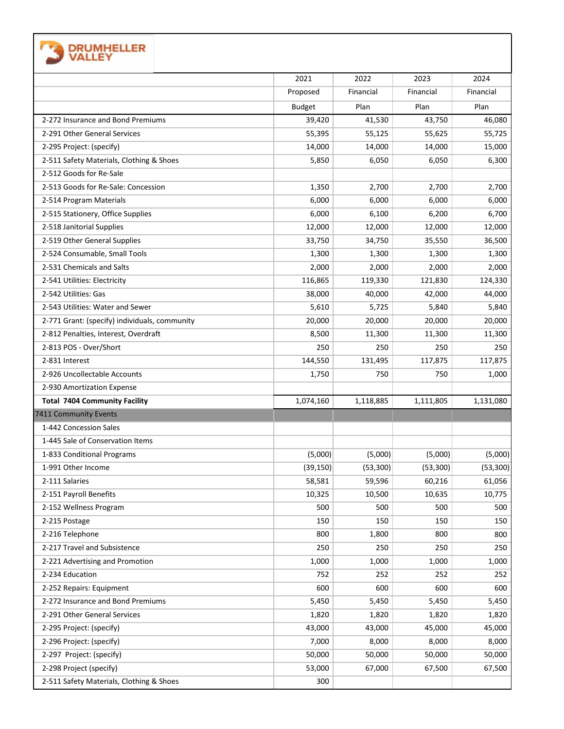| <b>DRUMHELLER</b>                             |               |           |           |           |
|-----------------------------------------------|---------------|-----------|-----------|-----------|
|                                               | 2021          | 2022      | 2023      | 2024      |
|                                               | Proposed      | Financial | Financial | Financial |
|                                               | <b>Budget</b> | Plan      | Plan      | Plan      |
| 2-272 Insurance and Bond Premiums             | 39,420        | 41,530    | 43,750    | 46,080    |
| 2-291 Other General Services                  | 55,395        | 55,125    | 55,625    | 55,725    |
| 2-295 Project: (specify)                      | 14,000        | 14,000    | 14,000    | 15,000    |
| 2-511 Safety Materials, Clothing & Shoes      | 5,850         | 6,050     | 6,050     | 6,300     |
| 2-512 Goods for Re-Sale                       |               |           |           |           |
| 2-513 Goods for Re-Sale: Concession           | 1,350         | 2,700     | 2,700     | 2,700     |
| 2-514 Program Materials                       | 6,000         | 6,000     | 6,000     | 6,000     |
| 2-515 Stationery, Office Supplies             | 6,000         | 6,100     | 6,200     | 6,700     |
| 2-518 Janitorial Supplies                     | 12,000        | 12,000    | 12,000    | 12,000    |
| 2-519 Other General Supplies                  | 33,750        | 34,750    | 35,550    | 36,500    |
| 2-524 Consumable, Small Tools                 | 1,300         | 1,300     | 1,300     | 1,300     |
| 2-531 Chemicals and Salts                     | 2,000         | 2,000     | 2,000     | 2,000     |
| 2-541 Utilities: Electricity                  | 116,865       | 119,330   | 121,830   | 124,330   |
| 2-542 Utilities: Gas                          | 38,000        | 40,000    | 42,000    | 44,000    |
| 2-543 Utilities: Water and Sewer              | 5,610         | 5,725     | 5,840     | 5,840     |
| 2-771 Grant: (specify) individuals, community | 20,000        | 20,000    | 20,000    | 20,000    |
| 2-812 Penalties, Interest, Overdraft          | 8,500         | 11,300    | 11,300    | 11,300    |
| 2-813 POS - Over/Short                        | 250           | 250       | 250       | 250       |
| 2-831 Interest                                | 144,550       | 131,495   | 117,875   | 117,875   |
| 2-926 Uncollectable Accounts                  | 1,750         | 750       | 750       | 1,000     |
| 2-930 Amortization Expense                    |               |           |           |           |
| <b>Total 7404 Community Facility</b>          | 1,074,160     | 1,118,885 | 1,111,805 | 1,131,080 |
| 7411 Community Events                         |               |           |           |           |
| 1-442 Concession Sales                        |               |           |           |           |
| 1-445 Sale of Conservation Items              |               |           |           |           |
| 1-833 Conditional Programs                    | (5,000)       | (5,000)   | (5,000)   | (5,000)   |
| 1-991 Other Income                            | (39, 150)     | (53, 300) | (53, 300) | (53, 300) |
| 2-111 Salaries                                | 58,581        | 59,596    | 60,216    | 61,056    |
| 2-151 Payroll Benefits                        | 10,325        | 10,500    | 10,635    | 10,775    |
| 2-152 Wellness Program                        | 500           | 500       | 500       | 500       |
| 2-215 Postage                                 | 150           | 150       | 150       | 150       |
| 2-216 Telephone                               | 800           | 1,800     | 800       | 800       |
| 2-217 Travel and Subsistence                  | 250           | 250       | 250       | 250       |
| 2-221 Advertising and Promotion               | 1,000         | 1,000     | 1,000     | 1,000     |
| 2-234 Education                               | 752           | 252       | 252       | 252       |
| 2-252 Repairs: Equipment                      | 600           | 600       | 600       | 600       |
| 2-272 Insurance and Bond Premiums             | 5,450         | 5,450     | 5,450     | 5,450     |
| 2-291 Other General Services                  | 1,820         | 1,820     | 1,820     | 1,820     |
| 2-295 Project: (specify)                      | 43,000        | 43,000    | 45,000    | 45,000    |
| 2-296 Project: (specify)                      | 7,000         | 8,000     | 8,000     | 8,000     |
| 2-297 Project: (specify)                      | 50,000        | 50,000    | 50,000    | 50,000    |
| 2-298 Project (specify)                       | 53,000        | 67,000    | 67,500    | 67,500    |
| 2-511 Safety Materials, Clothing & Shoes      | 300           |           |           |           |